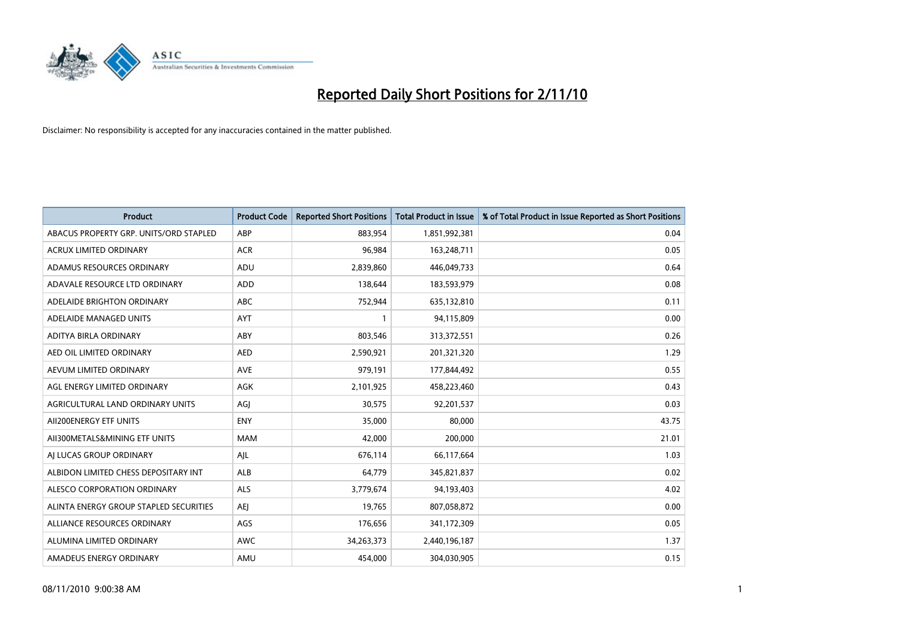

| <b>Product</b>                         | <b>Product Code</b> | <b>Reported Short Positions</b> | <b>Total Product in Issue</b> | % of Total Product in Issue Reported as Short Positions |
|----------------------------------------|---------------------|---------------------------------|-------------------------------|---------------------------------------------------------|
| ABACUS PROPERTY GRP. UNITS/ORD STAPLED | ABP                 | 883,954                         | 1,851,992,381                 | 0.04                                                    |
| <b>ACRUX LIMITED ORDINARY</b>          | <b>ACR</b>          | 96,984                          | 163,248,711                   | 0.05                                                    |
| ADAMUS RESOURCES ORDINARY              | ADU                 | 2,839,860                       | 446,049,733                   | 0.64                                                    |
| ADAVALE RESOURCE LTD ORDINARY          | ADD                 | 138,644                         | 183,593,979                   | 0.08                                                    |
| ADELAIDE BRIGHTON ORDINARY             | <b>ABC</b>          | 752,944                         | 635,132,810                   | 0.11                                                    |
| ADELAIDE MANAGED UNITS                 | <b>AYT</b>          |                                 | 94,115,809                    | 0.00                                                    |
| ADITYA BIRLA ORDINARY                  | ABY                 | 803.546                         | 313,372,551                   | 0.26                                                    |
| AED OIL LIMITED ORDINARY               | <b>AED</b>          | 2,590,921                       | 201,321,320                   | 1.29                                                    |
| AEVUM LIMITED ORDINARY                 | <b>AVE</b>          | 979,191                         | 177,844,492                   | 0.55                                                    |
| AGL ENERGY LIMITED ORDINARY            | <b>AGK</b>          | 2,101,925                       | 458,223,460                   | 0.43                                                    |
| AGRICULTURAL LAND ORDINARY UNITS       | AGJ                 | 30,575                          | 92,201,537                    | 0.03                                                    |
| AII200ENERGY ETF UNITS                 | <b>ENY</b>          | 35,000                          | 80,000                        | 43.75                                                   |
| AII300METALS&MINING ETF UNITS          | <b>MAM</b>          | 42.000                          | 200,000                       | 21.01                                                   |
| AI LUCAS GROUP ORDINARY                | AJL                 | 676,114                         | 66,117,664                    | 1.03                                                    |
| ALBIDON LIMITED CHESS DEPOSITARY INT   | ALB                 | 64,779                          | 345,821,837                   | 0.02                                                    |
| ALESCO CORPORATION ORDINARY            | <b>ALS</b>          | 3,779,674                       | 94,193,403                    | 4.02                                                    |
| ALINTA ENERGY GROUP STAPLED SECURITIES | <b>AEI</b>          | 19,765                          | 807,058,872                   | 0.00                                                    |
| ALLIANCE RESOURCES ORDINARY            | AGS                 | 176,656                         | 341,172,309                   | 0.05                                                    |
| ALUMINA LIMITED ORDINARY               | <b>AWC</b>          | 34,263,373                      | 2,440,196,187                 | 1.37                                                    |
| AMADEUS ENERGY ORDINARY                | AMU                 | 454.000                         | 304,030,905                   | 0.15                                                    |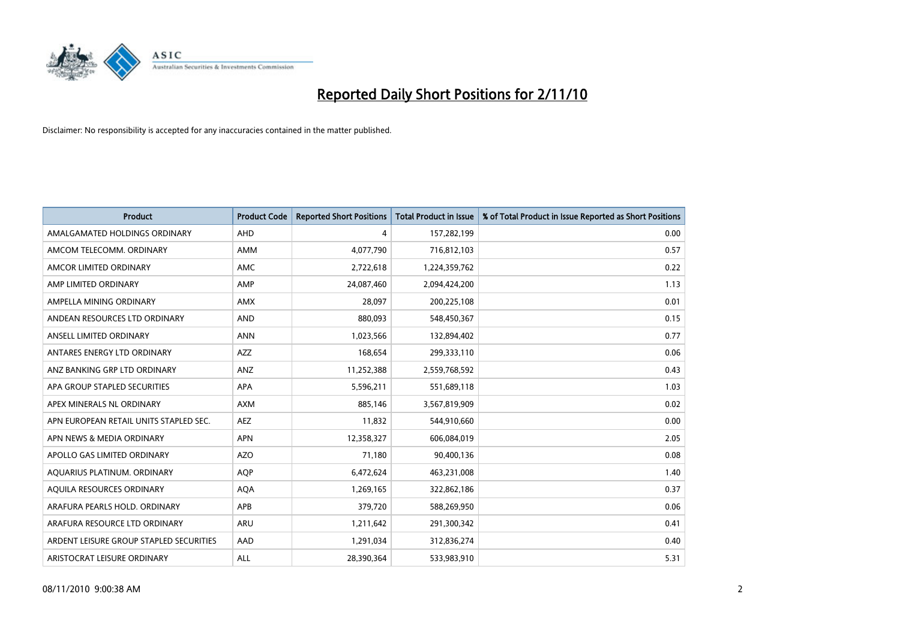

| <b>Product</b>                          | <b>Product Code</b> | <b>Reported Short Positions</b> | <b>Total Product in Issue</b> | % of Total Product in Issue Reported as Short Positions |
|-----------------------------------------|---------------------|---------------------------------|-------------------------------|---------------------------------------------------------|
| AMALGAMATED HOLDINGS ORDINARY           | AHD                 | 4                               | 157,282,199                   | 0.00                                                    |
| AMCOM TELECOMM, ORDINARY                | <b>AMM</b>          | 4,077,790                       | 716,812,103                   | 0.57                                                    |
| AMCOR LIMITED ORDINARY                  | <b>AMC</b>          | 2,722,618                       | 1,224,359,762                 | 0.22                                                    |
| AMP LIMITED ORDINARY                    | AMP                 | 24,087,460                      | 2,094,424,200                 | 1.13                                                    |
| AMPELLA MINING ORDINARY                 | <b>AMX</b>          | 28,097                          | 200,225,108                   | 0.01                                                    |
| ANDEAN RESOURCES LTD ORDINARY           | <b>AND</b>          | 880,093                         | 548,450,367                   | 0.15                                                    |
| ANSELL LIMITED ORDINARY                 | <b>ANN</b>          | 1,023,566                       | 132,894,402                   | 0.77                                                    |
| ANTARES ENERGY LTD ORDINARY             | <b>AZZ</b>          | 168,654                         | 299,333,110                   | 0.06                                                    |
| ANZ BANKING GRP LTD ORDINARY            | ANZ                 | 11,252,388                      | 2,559,768,592                 | 0.43                                                    |
| APA GROUP STAPLED SECURITIES            | <b>APA</b>          | 5,596,211                       | 551,689,118                   | 1.03                                                    |
| APEX MINERALS NL ORDINARY               | <b>AXM</b>          | 885,146                         | 3,567,819,909                 | 0.02                                                    |
| APN EUROPEAN RETAIL UNITS STAPLED SEC.  | <b>AEZ</b>          | 11,832                          | 544,910,660                   | 0.00                                                    |
| APN NEWS & MEDIA ORDINARY               | <b>APN</b>          | 12,358,327                      | 606,084,019                   | 2.05                                                    |
| APOLLO GAS LIMITED ORDINARY             | <b>AZO</b>          | 71,180                          | 90,400,136                    | 0.08                                                    |
| AQUARIUS PLATINUM. ORDINARY             | <b>AOP</b>          | 6,472,624                       | 463,231,008                   | 1.40                                                    |
| AQUILA RESOURCES ORDINARY               | <b>AQA</b>          | 1,269,165                       | 322,862,186                   | 0.37                                                    |
| ARAFURA PEARLS HOLD, ORDINARY           | APB                 | 379,720                         | 588,269,950                   | 0.06                                                    |
| ARAFURA RESOURCE LTD ORDINARY           | <b>ARU</b>          | 1,211,642                       | 291,300,342                   | 0.41                                                    |
| ARDENT LEISURE GROUP STAPLED SECURITIES | AAD                 | 1,291,034                       | 312,836,274                   | 0.40                                                    |
| ARISTOCRAT LEISURE ORDINARY             | ALL                 | 28,390,364                      | 533,983,910                   | 5.31                                                    |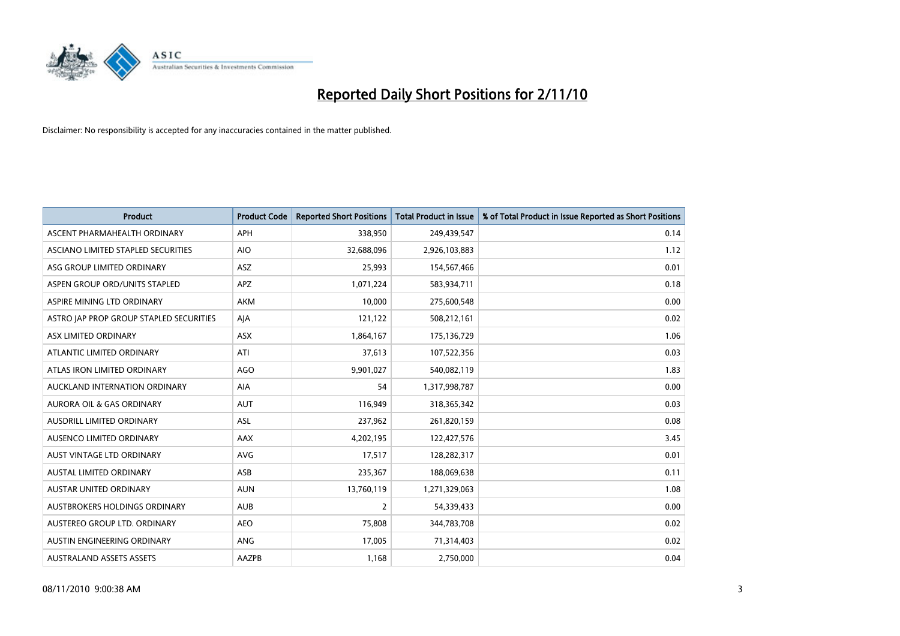

| <b>Product</b>                          | <b>Product Code</b> | <b>Reported Short Positions</b> | <b>Total Product in Issue</b> | % of Total Product in Issue Reported as Short Positions |
|-----------------------------------------|---------------------|---------------------------------|-------------------------------|---------------------------------------------------------|
| ASCENT PHARMAHEALTH ORDINARY            | APH                 | 338,950                         | 249,439,547                   | 0.14                                                    |
| ASCIANO LIMITED STAPLED SECURITIES      | <b>AIO</b>          | 32,688,096                      | 2,926,103,883                 | 1.12                                                    |
| ASG GROUP LIMITED ORDINARY              | <b>ASZ</b>          | 25.993                          | 154,567,466                   | 0.01                                                    |
| ASPEN GROUP ORD/UNITS STAPLED           | <b>APZ</b>          | 1,071,224                       | 583,934,711                   | 0.18                                                    |
| ASPIRE MINING LTD ORDINARY              | <b>AKM</b>          | 10,000                          | 275,600,548                   | 0.00                                                    |
| ASTRO JAP PROP GROUP STAPLED SECURITIES | AJA                 | 121,122                         | 508,212,161                   | 0.02                                                    |
| ASX LIMITED ORDINARY                    | <b>ASX</b>          | 1,864,167                       | 175,136,729                   | 1.06                                                    |
| ATLANTIC LIMITED ORDINARY               | ATI                 | 37,613                          | 107,522,356                   | 0.03                                                    |
| ATLAS IRON LIMITED ORDINARY             | <b>AGO</b>          | 9,901,027                       | 540,082,119                   | 1.83                                                    |
| AUCKLAND INTERNATION ORDINARY           | <b>AIA</b>          | 54                              | 1,317,998,787                 | 0.00                                                    |
| AURORA OIL & GAS ORDINARY               | <b>AUT</b>          | 116,949                         | 318,365,342                   | 0.03                                                    |
| <b>AUSDRILL LIMITED ORDINARY</b>        | <b>ASL</b>          | 237,962                         | 261,820,159                   | 0.08                                                    |
| AUSENCO LIMITED ORDINARY                | AAX                 | 4,202,195                       | 122,427,576                   | 3.45                                                    |
| AUST VINTAGE LTD ORDINARY               | AVG                 | 17,517                          | 128,282,317                   | 0.01                                                    |
| <b>AUSTAL LIMITED ORDINARY</b>          | ASB                 | 235,367                         | 188,069,638                   | 0.11                                                    |
| AUSTAR UNITED ORDINARY                  | <b>AUN</b>          | 13,760,119                      | 1,271,329,063                 | 1.08                                                    |
| AUSTBROKERS HOLDINGS ORDINARY           | <b>AUB</b>          | $\overline{2}$                  | 54,339,433                    | 0.00                                                    |
| AUSTEREO GROUP LTD. ORDINARY            | <b>AEO</b>          | 75,808                          | 344,783,708                   | 0.02                                                    |
| AUSTIN ENGINEERING ORDINARY             | <b>ANG</b>          | 17,005                          | 71,314,403                    | 0.02                                                    |
| <b>AUSTRALAND ASSETS ASSETS</b>         | AAZPB               | 1,168                           | 2,750,000                     | 0.04                                                    |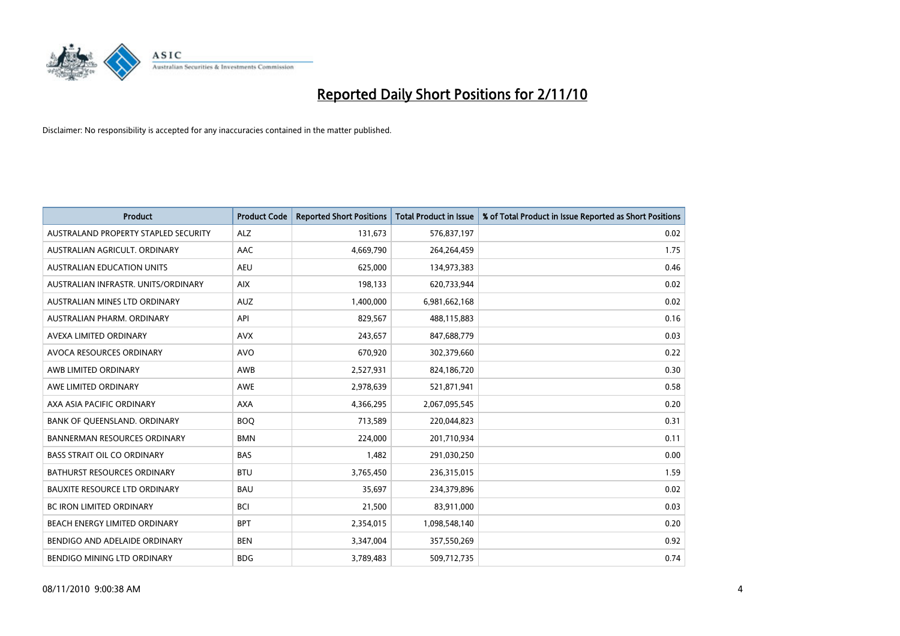

| <b>Product</b>                       | <b>Product Code</b> | <b>Reported Short Positions</b> | Total Product in Issue | % of Total Product in Issue Reported as Short Positions |
|--------------------------------------|---------------------|---------------------------------|------------------------|---------------------------------------------------------|
| AUSTRALAND PROPERTY STAPLED SECURITY | <b>ALZ</b>          | 131,673                         | 576,837,197            | 0.02                                                    |
| AUSTRALIAN AGRICULT, ORDINARY        | <b>AAC</b>          | 4,669,790                       | 264,264,459            | 1.75                                                    |
| <b>AUSTRALIAN EDUCATION UNITS</b>    | <b>AEU</b>          | 625,000                         | 134,973,383            | 0.46                                                    |
| AUSTRALIAN INFRASTR. UNITS/ORDINARY  | <b>AIX</b>          | 198,133                         | 620,733,944            | 0.02                                                    |
| AUSTRALIAN MINES LTD ORDINARY        | <b>AUZ</b>          | 1,400,000                       | 6,981,662,168          | 0.02                                                    |
| AUSTRALIAN PHARM, ORDINARY           | API                 | 829,567                         | 488,115,883            | 0.16                                                    |
| AVEXA LIMITED ORDINARY               | <b>AVX</b>          | 243,657                         | 847,688,779            | 0.03                                                    |
| <b>AVOCA RESOURCES ORDINARY</b>      | <b>AVO</b>          | 670,920                         | 302,379,660            | 0.22                                                    |
| AWB LIMITED ORDINARY                 | <b>AWB</b>          | 2,527,931                       | 824,186,720            | 0.30                                                    |
| AWE LIMITED ORDINARY                 | <b>AWE</b>          | 2,978,639                       | 521,871,941            | 0.58                                                    |
| AXA ASIA PACIFIC ORDINARY            | <b>AXA</b>          | 4,366,295                       | 2,067,095,545          | 0.20                                                    |
| BANK OF QUEENSLAND. ORDINARY         | <b>BOO</b>          | 713,589                         | 220,044,823            | 0.31                                                    |
| <b>BANNERMAN RESOURCES ORDINARY</b>  | <b>BMN</b>          | 224.000                         | 201,710,934            | 0.11                                                    |
| <b>BASS STRAIT OIL CO ORDINARY</b>   | <b>BAS</b>          | 1.482                           | 291,030,250            | 0.00                                                    |
| BATHURST RESOURCES ORDINARY          | <b>BTU</b>          | 3,765,450                       | 236,315,015            | 1.59                                                    |
| <b>BAUXITE RESOURCE LTD ORDINARY</b> | <b>BAU</b>          | 35,697                          | 234,379,896            | 0.02                                                    |
| <b>BC IRON LIMITED ORDINARY</b>      | <b>BCI</b>          | 21,500                          | 83,911,000             | 0.03                                                    |
| BEACH ENERGY LIMITED ORDINARY        | <b>BPT</b>          | 2,354,015                       | 1,098,548,140          | 0.20                                                    |
| BENDIGO AND ADELAIDE ORDINARY        | <b>BEN</b>          | 3,347,004                       | 357,550,269            | 0.92                                                    |
| BENDIGO MINING LTD ORDINARY          | <b>BDG</b>          | 3.789.483                       | 509,712,735            | 0.74                                                    |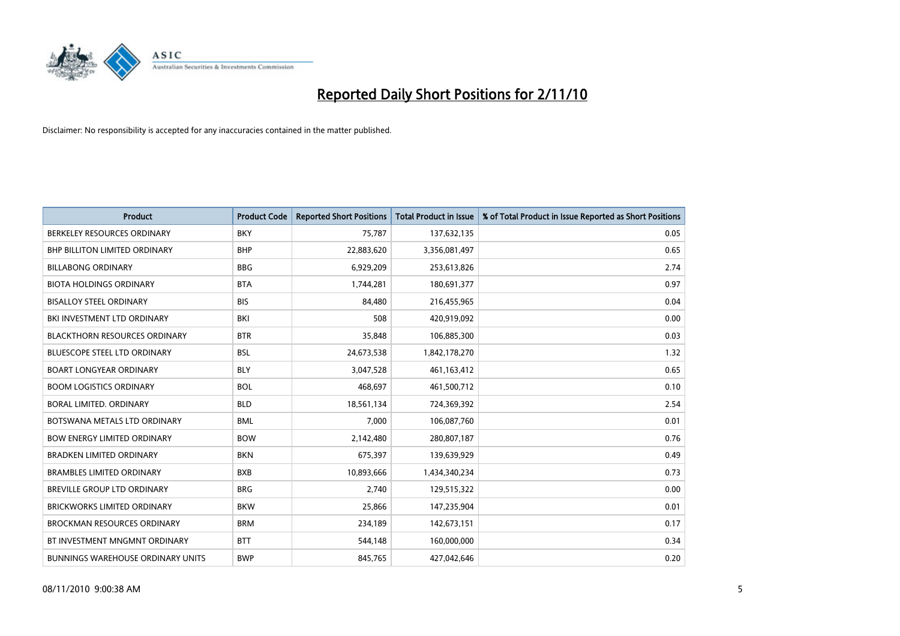

| <b>Product</b>                           | <b>Product Code</b> | <b>Reported Short Positions</b> | <b>Total Product in Issue</b> | % of Total Product in Issue Reported as Short Positions |
|------------------------------------------|---------------------|---------------------------------|-------------------------------|---------------------------------------------------------|
| BERKELEY RESOURCES ORDINARY              | <b>BKY</b>          | 75,787                          | 137,632,135                   | 0.05                                                    |
| BHP BILLITON LIMITED ORDINARY            | <b>BHP</b>          | 22,883,620                      | 3,356,081,497                 | 0.65                                                    |
| <b>BILLABONG ORDINARY</b>                | <b>BBG</b>          | 6,929,209                       | 253,613,826                   | 2.74                                                    |
| <b>BIOTA HOLDINGS ORDINARY</b>           | <b>BTA</b>          | 1,744,281                       | 180,691,377                   | 0.97                                                    |
| <b>BISALLOY STEEL ORDINARY</b>           | <b>BIS</b>          | 84,480                          | 216,455,965                   | 0.04                                                    |
| BKI INVESTMENT LTD ORDINARY              | BKI                 | 508                             | 420,919,092                   | 0.00                                                    |
| <b>BLACKTHORN RESOURCES ORDINARY</b>     | <b>BTR</b>          | 35,848                          | 106,885,300                   | 0.03                                                    |
| <b>BLUESCOPE STEEL LTD ORDINARY</b>      | <b>BSL</b>          | 24,673,538                      | 1,842,178,270                 | 1.32                                                    |
| <b>BOART LONGYEAR ORDINARY</b>           | <b>BLY</b>          | 3,047,528                       | 461,163,412                   | 0.65                                                    |
| <b>BOOM LOGISTICS ORDINARY</b>           | <b>BOL</b>          | 468.697                         | 461,500,712                   | 0.10                                                    |
| BORAL LIMITED, ORDINARY                  | <b>BLD</b>          | 18,561,134                      | 724,369,392                   | 2.54                                                    |
| BOTSWANA METALS LTD ORDINARY             | <b>BML</b>          | 7,000                           | 106,087,760                   | 0.01                                                    |
| <b>BOW ENERGY LIMITED ORDINARY</b>       | <b>BOW</b>          | 2,142,480                       | 280,807,187                   | 0.76                                                    |
| <b>BRADKEN LIMITED ORDINARY</b>          | <b>BKN</b>          | 675,397                         | 139,639,929                   | 0.49                                                    |
| <b>BRAMBLES LIMITED ORDINARY</b>         | <b>BXB</b>          | 10,893,666                      | 1,434,340,234                 | 0.73                                                    |
| <b>BREVILLE GROUP LTD ORDINARY</b>       | <b>BRG</b>          | 2.740                           | 129,515,322                   | 0.00                                                    |
| <b>BRICKWORKS LIMITED ORDINARY</b>       | <b>BKW</b>          | 25,866                          | 147,235,904                   | 0.01                                                    |
| <b>BROCKMAN RESOURCES ORDINARY</b>       | <b>BRM</b>          | 234,189                         | 142,673,151                   | 0.17                                                    |
| BT INVESTMENT MNGMNT ORDINARY            | <b>BTT</b>          | 544,148                         | 160,000,000                   | 0.34                                                    |
| <b>BUNNINGS WAREHOUSE ORDINARY UNITS</b> | <b>BWP</b>          | 845,765                         | 427,042,646                   | 0.20                                                    |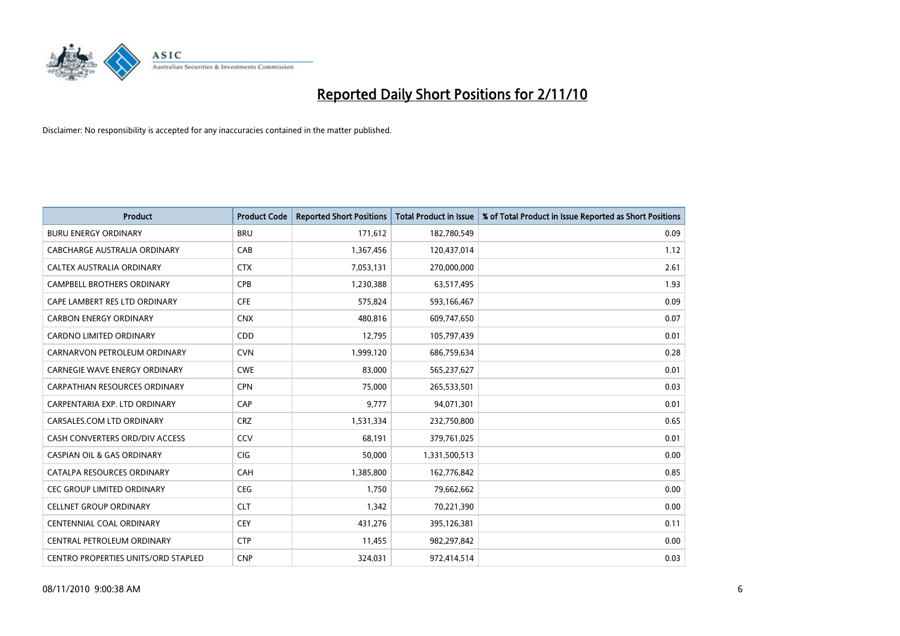

| <b>Product</b>                             | <b>Product Code</b> | <b>Reported Short Positions</b> | Total Product in Issue | % of Total Product in Issue Reported as Short Positions |
|--------------------------------------------|---------------------|---------------------------------|------------------------|---------------------------------------------------------|
| <b>BURU ENERGY ORDINARY</b>                | <b>BRU</b>          | 171,612                         | 182,780,549            | 0.09                                                    |
| CABCHARGE AUSTRALIA ORDINARY               | CAB                 | 1,367,456                       | 120,437,014            | 1.12                                                    |
| CALTEX AUSTRALIA ORDINARY                  | <b>CTX</b>          | 7,053,131                       | 270,000,000            | 2.61                                                    |
| CAMPBELL BROTHERS ORDINARY                 | <b>CPB</b>          | 1,230,388                       | 63,517,495             | 1.93                                                    |
| CAPE LAMBERT RES LTD ORDINARY              | <b>CFE</b>          | 575,824                         | 593,166,467            | 0.09                                                    |
| <b>CARBON ENERGY ORDINARY</b>              | <b>CNX</b>          | 480,816                         | 609,747,650            | 0.07                                                    |
| <b>CARDNO LIMITED ORDINARY</b>             | CDD                 | 12,795                          | 105,797,439            | 0.01                                                    |
| CARNARVON PETROLEUM ORDINARY               | <b>CVN</b>          | 1,999,120                       | 686,759,634            | 0.28                                                    |
| CARNEGIE WAVE ENERGY ORDINARY              | <b>CWE</b>          | 83,000                          | 565,237,627            | 0.01                                                    |
| <b>CARPATHIAN RESOURCES ORDINARY</b>       | <b>CPN</b>          | 75,000                          | 265,533,501            | 0.03                                                    |
| CARPENTARIA EXP. LTD ORDINARY              | CAP                 | 9,777                           | 94,071,301             | 0.01                                                    |
| CARSALES.COM LTD ORDINARY                  | <b>CRZ</b>          | 1,531,334                       | 232,750,800            | 0.65                                                    |
| CASH CONVERTERS ORD/DIV ACCESS             | CCV                 | 68,191                          | 379,761,025            | 0.01                                                    |
| <b>CASPIAN OIL &amp; GAS ORDINARY</b>      | <b>CIG</b>          | 50,000                          | 1,331,500,513          | 0.00                                                    |
| CATALPA RESOURCES ORDINARY                 | CAH                 | 1,385,800                       | 162,776,842            | 0.85                                                    |
| CEC GROUP LIMITED ORDINARY                 | <b>CEG</b>          | 1,750                           | 79,662,662             | 0.00                                                    |
| <b>CELLNET GROUP ORDINARY</b>              | <b>CLT</b>          | 1,342                           | 70,221,390             | 0.00                                                    |
| CENTENNIAL COAL ORDINARY                   | <b>CEY</b>          | 431,276                         | 395,126,381            | 0.11                                                    |
| CENTRAL PETROLEUM ORDINARY                 | <b>CTP</b>          | 11,455                          | 982,297,842            | 0.00                                                    |
| <b>CENTRO PROPERTIES UNITS/ORD STAPLED</b> | <b>CNP</b>          | 324,031                         | 972,414,514            | 0.03                                                    |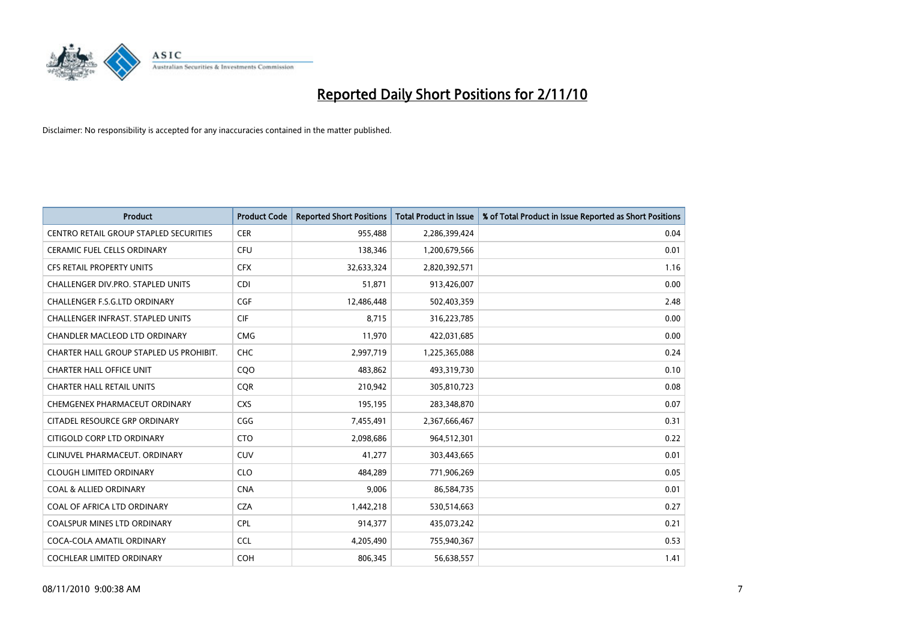

| <b>Product</b>                                | <b>Product Code</b> | <b>Reported Short Positions</b> | <b>Total Product in Issue</b> | % of Total Product in Issue Reported as Short Positions |
|-----------------------------------------------|---------------------|---------------------------------|-------------------------------|---------------------------------------------------------|
| <b>CENTRO RETAIL GROUP STAPLED SECURITIES</b> | <b>CER</b>          | 955,488                         | 2,286,399,424                 | 0.04                                                    |
| CERAMIC FUEL CELLS ORDINARY                   | CFU                 | 138,346                         | 1,200,679,566                 | 0.01                                                    |
| <b>CFS RETAIL PROPERTY UNITS</b>              | <b>CFX</b>          | 32,633,324                      | 2,820,392,571                 | 1.16                                                    |
| <b>CHALLENGER DIV.PRO. STAPLED UNITS</b>      | <b>CDI</b>          | 51,871                          | 913,426,007                   | 0.00                                                    |
| <b>CHALLENGER F.S.G.LTD ORDINARY</b>          | CGF                 | 12,486,448                      | 502,403,359                   | 2.48                                                    |
| <b>CHALLENGER INFRAST, STAPLED UNITS</b>      | <b>CIF</b>          | 8.715                           | 316,223,785                   | 0.00                                                    |
| <b>CHANDLER MACLEOD LTD ORDINARY</b>          | <b>CMG</b>          | 11,970                          | 422,031,685                   | 0.00                                                    |
| CHARTER HALL GROUP STAPLED US PROHIBIT.       | <b>CHC</b>          | 2,997,719                       | 1,225,365,088                 | 0.24                                                    |
| <b>CHARTER HALL OFFICE UNIT</b>               | C <sub>O</sub> O    | 483,862                         | 493,319,730                   | 0.10                                                    |
| <b>CHARTER HALL RETAIL UNITS</b>              | <b>COR</b>          | 210,942                         | 305,810,723                   | 0.08                                                    |
| CHEMGENEX PHARMACEUT ORDINARY                 | <b>CXS</b>          | 195,195                         | 283,348,870                   | 0.07                                                    |
| CITADEL RESOURCE GRP ORDINARY                 | CGG                 | 7,455,491                       | 2,367,666,467                 | 0.31                                                    |
| CITIGOLD CORP LTD ORDINARY                    | <b>CTO</b>          | 2,098,686                       | 964,512,301                   | 0.22                                                    |
| CLINUVEL PHARMACEUT, ORDINARY                 | <b>CUV</b>          | 41,277                          | 303,443,665                   | 0.01                                                    |
| <b>CLOUGH LIMITED ORDINARY</b>                | <b>CLO</b>          | 484,289                         | 771,906,269                   | 0.05                                                    |
| <b>COAL &amp; ALLIED ORDINARY</b>             | <b>CNA</b>          | 9,006                           | 86,584,735                    | 0.01                                                    |
| COAL OF AFRICA LTD ORDINARY                   | <b>CZA</b>          | 1,442,218                       | 530,514,663                   | 0.27                                                    |
| COALSPUR MINES LTD ORDINARY                   | <b>CPL</b>          | 914,377                         | 435,073,242                   | 0.21                                                    |
| COCA-COLA AMATIL ORDINARY                     | <b>CCL</b>          | 4,205,490                       | 755,940,367                   | 0.53                                                    |
| COCHLEAR LIMITED ORDINARY                     | COH                 | 806,345                         | 56,638,557                    | 1.41                                                    |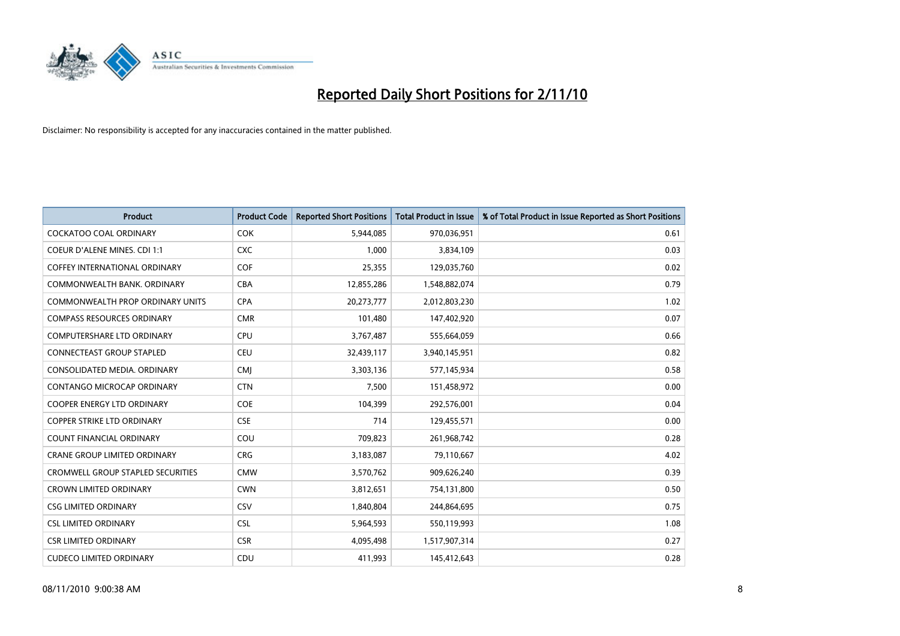

| <b>Product</b>                           | <b>Product Code</b> | <b>Reported Short Positions</b> | Total Product in Issue | % of Total Product in Issue Reported as Short Positions |
|------------------------------------------|---------------------|---------------------------------|------------------------|---------------------------------------------------------|
| <b>COCKATOO COAL ORDINARY</b>            | <b>COK</b>          | 5,944,085                       | 970,036,951            | 0.61                                                    |
| COEUR D'ALENE MINES. CDI 1:1             | <b>CXC</b>          | 1,000                           | 3,834,109              | 0.03                                                    |
| <b>COFFEY INTERNATIONAL ORDINARY</b>     | <b>COF</b>          | 25,355                          | 129,035,760            | 0.02                                                    |
| COMMONWEALTH BANK, ORDINARY              | <b>CBA</b>          | 12,855,286                      | 1,548,882,074          | 0.79                                                    |
| <b>COMMONWEALTH PROP ORDINARY UNITS</b>  | <b>CPA</b>          | 20,273,777                      | 2,012,803,230          | 1.02                                                    |
| <b>COMPASS RESOURCES ORDINARY</b>        | <b>CMR</b>          | 101,480                         | 147,402,920            | 0.07                                                    |
| <b>COMPUTERSHARE LTD ORDINARY</b>        | <b>CPU</b>          | 3,767,487                       | 555,664,059            | 0.66                                                    |
| CONNECTEAST GROUP STAPLED                | <b>CEU</b>          | 32,439,117                      | 3,940,145,951          | 0.82                                                    |
| CONSOLIDATED MEDIA. ORDINARY             | <b>CMI</b>          | 3,303,136                       | 577,145,934            | 0.58                                                    |
| CONTANGO MICROCAP ORDINARY               | <b>CTN</b>          | 7,500                           | 151,458,972            | 0.00                                                    |
| <b>COOPER ENERGY LTD ORDINARY</b>        | <b>COE</b>          | 104,399                         | 292,576,001            | 0.04                                                    |
| COPPER STRIKE LTD ORDINARY               | <b>CSE</b>          | 714                             | 129,455,571            | 0.00                                                    |
| <b>COUNT FINANCIAL ORDINARY</b>          | COU                 | 709,823                         | 261,968,742            | 0.28                                                    |
| <b>CRANE GROUP LIMITED ORDINARY</b>      | <b>CRG</b>          | 3,183,087                       | 79,110,667             | 4.02                                                    |
| <b>CROMWELL GROUP STAPLED SECURITIES</b> | <b>CMW</b>          | 3,570,762                       | 909,626,240            | 0.39                                                    |
| <b>CROWN LIMITED ORDINARY</b>            | <b>CWN</b>          | 3,812,651                       | 754,131,800            | 0.50                                                    |
| <b>CSG LIMITED ORDINARY</b>              | CSV                 | 1,840,804                       | 244,864,695            | 0.75                                                    |
| <b>CSL LIMITED ORDINARY</b>              | <b>CSL</b>          | 5,964,593                       | 550,119,993            | 1.08                                                    |
| <b>CSR LIMITED ORDINARY</b>              | <b>CSR</b>          | 4,095,498                       | 1,517,907,314          | 0.27                                                    |
| <b>CUDECO LIMITED ORDINARY</b>           | CDU                 | 411,993                         | 145,412,643            | 0.28                                                    |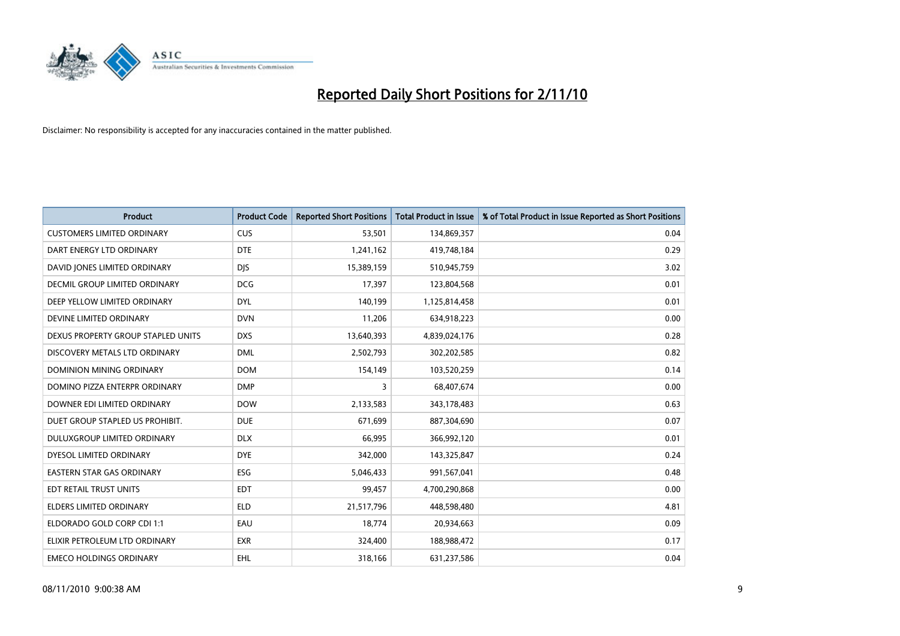

| <b>Product</b>                       | <b>Product Code</b> | <b>Reported Short Positions</b> | <b>Total Product in Issue</b> | % of Total Product in Issue Reported as Short Positions |
|--------------------------------------|---------------------|---------------------------------|-------------------------------|---------------------------------------------------------|
| <b>CUSTOMERS LIMITED ORDINARY</b>    | <b>CUS</b>          | 53,501                          | 134,869,357                   | 0.04                                                    |
| DART ENERGY LTD ORDINARY             | <b>DTE</b>          | 1,241,162                       | 419,748,184                   | 0.29                                                    |
| DAVID JONES LIMITED ORDINARY         | <b>DJS</b>          | 15,389,159                      | 510,945,759                   | 3.02                                                    |
| <b>DECMIL GROUP LIMITED ORDINARY</b> | <b>DCG</b>          | 17,397                          | 123,804,568                   | 0.01                                                    |
| DEEP YELLOW LIMITED ORDINARY         | <b>DYL</b>          | 140,199                         | 1,125,814,458                 | 0.01                                                    |
| DEVINE LIMITED ORDINARY              | <b>DVN</b>          | 11,206                          | 634,918,223                   | 0.00                                                    |
| DEXUS PROPERTY GROUP STAPLED UNITS   | <b>DXS</b>          | 13,640,393                      | 4,839,024,176                 | 0.28                                                    |
| DISCOVERY METALS LTD ORDINARY        | <b>DML</b>          | 2,502,793                       | 302,202,585                   | 0.82                                                    |
| DOMINION MINING ORDINARY             | <b>DOM</b>          | 154,149                         | 103,520,259                   | 0.14                                                    |
| DOMINO PIZZA ENTERPR ORDINARY        | <b>DMP</b>          | 3                               | 68,407,674                    | 0.00                                                    |
| DOWNER EDI LIMITED ORDINARY          | <b>DOW</b>          | 2,133,583                       | 343,178,483                   | 0.63                                                    |
| DUET GROUP STAPLED US PROHIBIT.      | <b>DUE</b>          | 671,699                         | 887,304,690                   | 0.07                                                    |
| DULUXGROUP LIMITED ORDINARY          | <b>DLX</b>          | 66,995                          | 366,992,120                   | 0.01                                                    |
| DYESOL LIMITED ORDINARY              | <b>DYE</b>          | 342,000                         | 143,325,847                   | 0.24                                                    |
| <b>EASTERN STAR GAS ORDINARY</b>     | ESG                 | 5,046,433                       | 991,567,041                   | 0.48                                                    |
| EDT RETAIL TRUST UNITS               | <b>EDT</b>          | 99,457                          | 4,700,290,868                 | 0.00                                                    |
| <b>ELDERS LIMITED ORDINARY</b>       | <b>ELD</b>          | 21,517,796                      | 448,598,480                   | 4.81                                                    |
| ELDORADO GOLD CORP CDI 1:1           | EAU                 | 18,774                          | 20,934,663                    | 0.09                                                    |
| ELIXIR PETROLEUM LTD ORDINARY        | <b>EXR</b>          | 324,400                         | 188,988,472                   | 0.17                                                    |
| <b>EMECO HOLDINGS ORDINARY</b>       | <b>EHL</b>          | 318,166                         | 631,237,586                   | 0.04                                                    |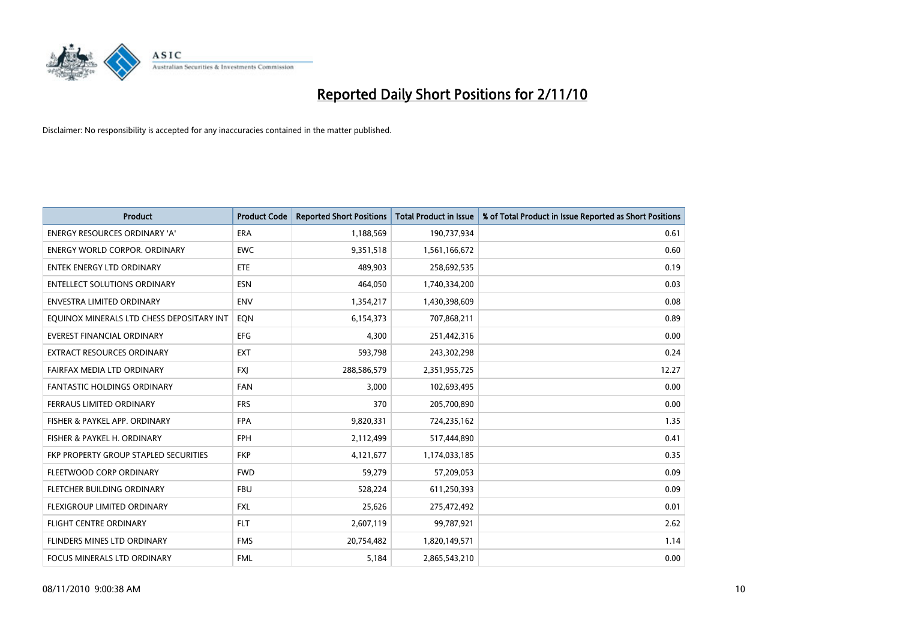

| <b>Product</b>                            | <b>Product Code</b> | <b>Reported Short Positions</b> | Total Product in Issue | % of Total Product in Issue Reported as Short Positions |
|-------------------------------------------|---------------------|---------------------------------|------------------------|---------------------------------------------------------|
| <b>ENERGY RESOURCES ORDINARY 'A'</b>      | <b>ERA</b>          | 1,188,569                       | 190,737,934            | 0.61                                                    |
| ENERGY WORLD CORPOR. ORDINARY             | <b>EWC</b>          | 9,351,518                       | 1,561,166,672          | 0.60                                                    |
| ENTEK ENERGY LTD ORDINARY                 | <b>ETE</b>          | 489.903                         | 258,692,535            | 0.19                                                    |
| ENTELLECT SOLUTIONS ORDINARY              | <b>ESN</b>          | 464,050                         | 1,740,334,200          | 0.03                                                    |
| <b>ENVESTRA LIMITED ORDINARY</b>          | <b>ENV</b>          | 1,354,217                       | 1,430,398,609          | 0.08                                                    |
| EQUINOX MINERALS LTD CHESS DEPOSITARY INT | EON                 | 6,154,373                       | 707,868,211            | 0.89                                                    |
| EVEREST FINANCIAL ORDINARY                | <b>EFG</b>          | 4,300                           | 251,442,316            | 0.00                                                    |
| EXTRACT RESOURCES ORDINARY                | <b>EXT</b>          | 593,798                         | 243,302,298            | 0.24                                                    |
| FAIRFAX MEDIA LTD ORDINARY                | <b>FXI</b>          | 288,586,579                     | 2,351,955,725          | 12.27                                                   |
| <b>FANTASTIC HOLDINGS ORDINARY</b>        | <b>FAN</b>          | 3,000                           | 102,693,495            | 0.00                                                    |
| FERRAUS LIMITED ORDINARY                  | <b>FRS</b>          | 370                             | 205,700,890            | 0.00                                                    |
| FISHER & PAYKEL APP. ORDINARY             | <b>FPA</b>          | 9,820,331                       | 724,235,162            | 1.35                                                    |
| FISHER & PAYKEL H. ORDINARY               | <b>FPH</b>          | 2,112,499                       | 517,444,890            | 0.41                                                    |
| FKP PROPERTY GROUP STAPLED SECURITIES     | <b>FKP</b>          | 4,121,677                       | 1,174,033,185          | 0.35                                                    |
| FLEETWOOD CORP ORDINARY                   | <b>FWD</b>          | 59,279                          | 57,209,053             | 0.09                                                    |
| FLETCHER BUILDING ORDINARY                | <b>FBU</b>          | 528,224                         | 611,250,393            | 0.09                                                    |
| FLEXIGROUP LIMITED ORDINARY               | <b>FXL</b>          | 25,626                          | 275,472,492            | 0.01                                                    |
| <b>FLIGHT CENTRE ORDINARY</b>             | <b>FLT</b>          | 2,607,119                       | 99,787,921             | 2.62                                                    |
| FLINDERS MINES LTD ORDINARY               | <b>FMS</b>          | 20,754,482                      | 1,820,149,571          | 1.14                                                    |
| FOCUS MINERALS LTD ORDINARY               | <b>FML</b>          | 5,184                           | 2,865,543,210          | 0.00                                                    |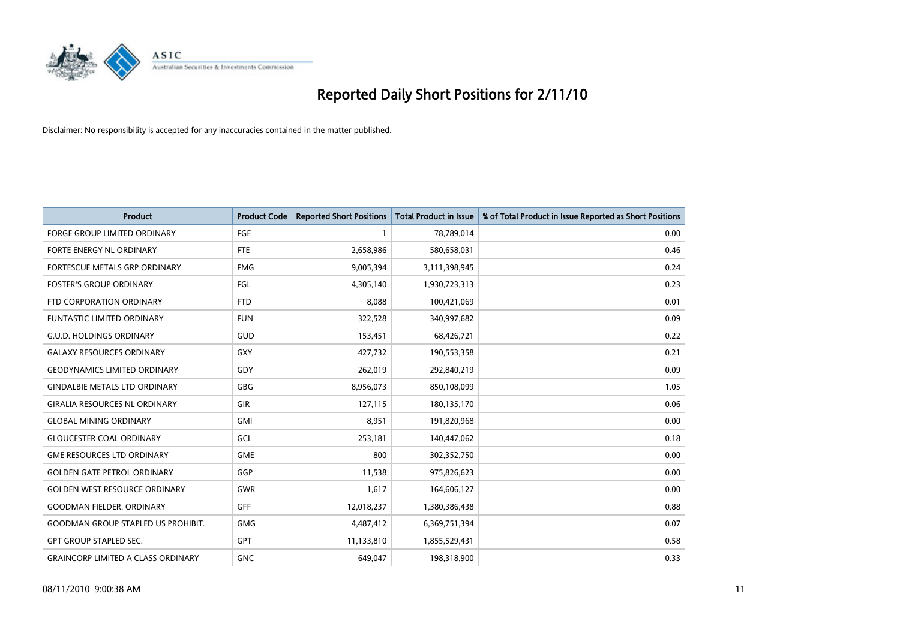

| <b>Product</b>                            | <b>Product Code</b> | <b>Reported Short Positions</b> | <b>Total Product in Issue</b> | % of Total Product in Issue Reported as Short Positions |
|-------------------------------------------|---------------------|---------------------------------|-------------------------------|---------------------------------------------------------|
| <b>FORGE GROUP LIMITED ORDINARY</b>       | FGE                 |                                 | 78,789,014                    | 0.00                                                    |
| <b>FORTE ENERGY NL ORDINARY</b>           | <b>FTE</b>          | 2,658,986                       | 580,658,031                   | 0.46                                                    |
| FORTESCUE METALS GRP ORDINARY             | <b>FMG</b>          | 9,005,394                       | 3,111,398,945                 | 0.24                                                    |
| <b>FOSTER'S GROUP ORDINARY</b>            | FGL                 | 4,305,140                       | 1,930,723,313                 | 0.23                                                    |
| FTD CORPORATION ORDINARY                  | <b>FTD</b>          | 8,088                           | 100,421,069                   | 0.01                                                    |
| <b>FUNTASTIC LIMITED ORDINARY</b>         | <b>FUN</b>          | 322,528                         | 340,997,682                   | 0.09                                                    |
| <b>G.U.D. HOLDINGS ORDINARY</b>           | GUD                 | 153,451                         | 68,426,721                    | 0.22                                                    |
| <b>GALAXY RESOURCES ORDINARY</b>          | <b>GXY</b>          | 427,732                         | 190,553,358                   | 0.21                                                    |
| <b>GEODYNAMICS LIMITED ORDINARY</b>       | GDY                 | 262,019                         | 292,840,219                   | 0.09                                                    |
| <b>GINDALBIE METALS LTD ORDINARY</b>      | <b>GBG</b>          | 8,956,073                       | 850,108,099                   | 1.05                                                    |
| <b>GIRALIA RESOURCES NL ORDINARY</b>      | <b>GIR</b>          | 127,115                         | 180,135,170                   | 0.06                                                    |
| <b>GLOBAL MINING ORDINARY</b>             | <b>GMI</b>          | 8,951                           | 191,820,968                   | 0.00                                                    |
| <b>GLOUCESTER COAL ORDINARY</b>           | GCL                 | 253,181                         | 140,447,062                   | 0.18                                                    |
| <b>GME RESOURCES LTD ORDINARY</b>         | <b>GME</b>          | 800                             | 302,352,750                   | 0.00                                                    |
| <b>GOLDEN GATE PETROL ORDINARY</b>        | GGP                 | 11,538                          | 975,826,623                   | 0.00                                                    |
| <b>GOLDEN WEST RESOURCE ORDINARY</b>      | GWR                 | 1,617                           | 164,606,127                   | 0.00                                                    |
| <b>GOODMAN FIELDER. ORDINARY</b>          | <b>GFF</b>          | 12,018,237                      | 1,380,386,438                 | 0.88                                                    |
| <b>GOODMAN GROUP STAPLED US PROHIBIT.</b> | <b>GMG</b>          | 4,487,412                       | 6,369,751,394                 | 0.07                                                    |
| <b>GPT GROUP STAPLED SEC.</b>             | <b>GPT</b>          | 11,133,810                      | 1,855,529,431                 | 0.58                                                    |
| <b>GRAINCORP LIMITED A CLASS ORDINARY</b> | <b>GNC</b>          | 649.047                         | 198,318,900                   | 0.33                                                    |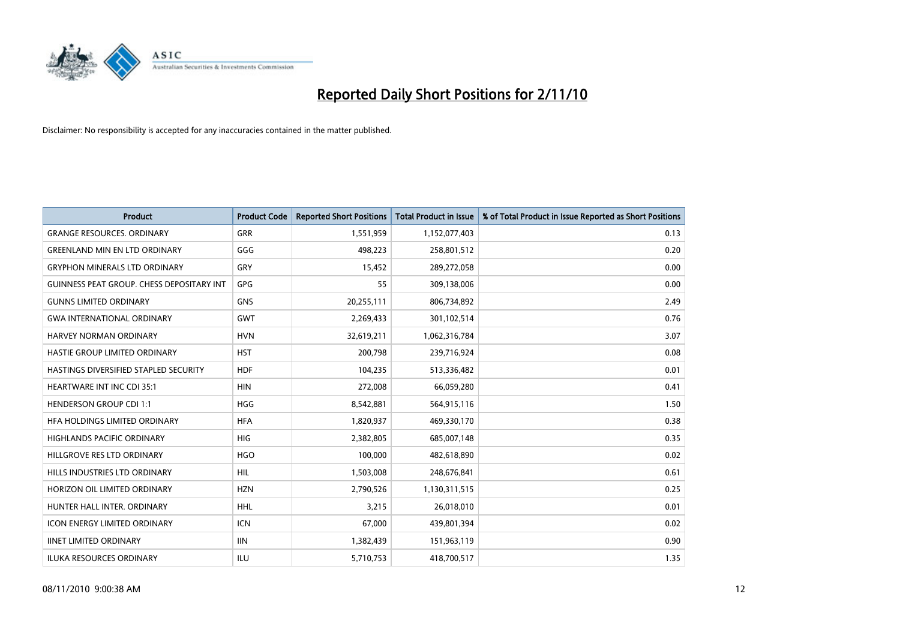

| <b>Product</b>                            | <b>Product Code</b> | <b>Reported Short Positions</b> | <b>Total Product in Issue</b> | % of Total Product in Issue Reported as Short Positions |
|-------------------------------------------|---------------------|---------------------------------|-------------------------------|---------------------------------------------------------|
| <b>GRANGE RESOURCES, ORDINARY</b>         | GRR                 | 1,551,959                       | 1,152,077,403                 | 0.13                                                    |
| <b>GREENLAND MIN EN LTD ORDINARY</b>      | GGG                 | 498,223                         | 258,801,512                   | 0.20                                                    |
| <b>GRYPHON MINERALS LTD ORDINARY</b>      | GRY                 | 15,452                          | 289,272,058                   | 0.00                                                    |
| GUINNESS PEAT GROUP. CHESS DEPOSITARY INT | GPG                 | 55                              | 309,138,006                   | 0.00                                                    |
| <b>GUNNS LIMITED ORDINARY</b>             | <b>GNS</b>          | 20,255,111                      | 806,734,892                   | 2.49                                                    |
| <b>GWA INTERNATIONAL ORDINARY</b>         | <b>GWT</b>          | 2,269,433                       | 301,102,514                   | 0.76                                                    |
| HARVEY NORMAN ORDINARY                    | <b>HVN</b>          | 32,619,211                      | 1,062,316,784                 | 3.07                                                    |
| HASTIE GROUP LIMITED ORDINARY             | <b>HST</b>          | 200,798                         | 239,716,924                   | 0.08                                                    |
| HASTINGS DIVERSIFIED STAPLED SECURITY     | <b>HDF</b>          | 104,235                         | 513,336,482                   | 0.01                                                    |
| HEARTWARE INT INC CDI 35:1                | <b>HIN</b>          | 272,008                         | 66,059,280                    | 0.41                                                    |
| <b>HENDERSON GROUP CDI 1:1</b>            | <b>HGG</b>          | 8,542,881                       | 564,915,116                   | 1.50                                                    |
| HFA HOLDINGS LIMITED ORDINARY             | <b>HFA</b>          | 1,820,937                       | 469,330,170                   | 0.38                                                    |
| <b>HIGHLANDS PACIFIC ORDINARY</b>         | <b>HIG</b>          | 2,382,805                       | 685,007,148                   | 0.35                                                    |
| HILLGROVE RES LTD ORDINARY                | <b>HGO</b>          | 100,000                         | 482,618,890                   | 0.02                                                    |
| HILLS INDUSTRIES LTD ORDINARY             | <b>HIL</b>          | 1,503,008                       | 248,676,841                   | 0.61                                                    |
| HORIZON OIL LIMITED ORDINARY              | <b>HZN</b>          | 2,790,526                       | 1,130,311,515                 | 0.25                                                    |
| HUNTER HALL INTER, ORDINARY               | <b>HHL</b>          | 3,215                           | 26,018,010                    | 0.01                                                    |
| ICON ENERGY LIMITED ORDINARY              | <b>ICN</b>          | 67,000                          | 439,801,394                   | 0.02                                                    |
| <b>IINET LIMITED ORDINARY</b>             | <b>IIN</b>          | 1,382,439                       | 151,963,119                   | 0.90                                                    |
| <b>ILUKA RESOURCES ORDINARY</b>           | ILU                 | 5,710,753                       | 418,700,517                   | 1.35                                                    |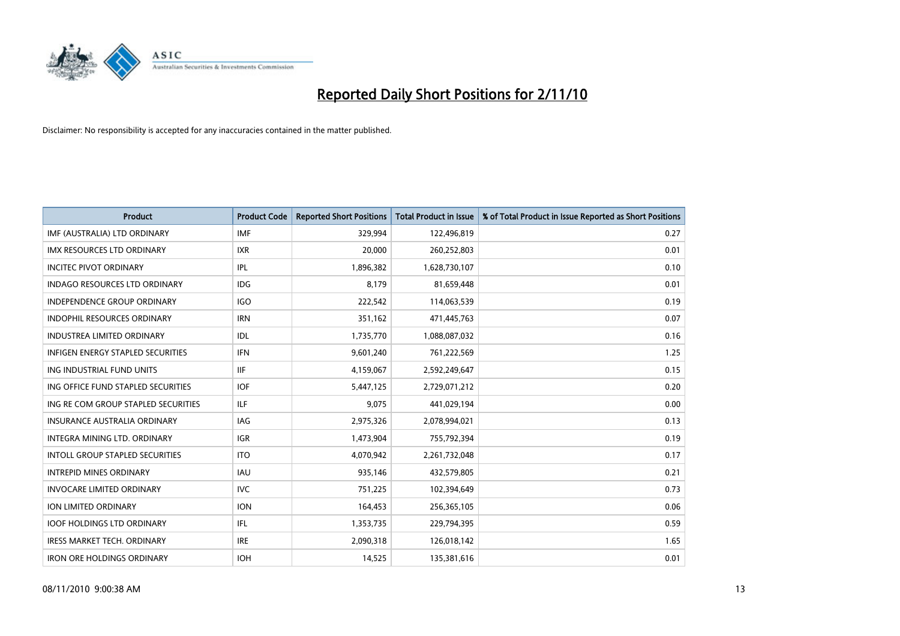

| <b>Product</b>                           | <b>Product Code</b> | <b>Reported Short Positions</b> | <b>Total Product in Issue</b> | % of Total Product in Issue Reported as Short Positions |
|------------------------------------------|---------------------|---------------------------------|-------------------------------|---------------------------------------------------------|
| IMF (AUSTRALIA) LTD ORDINARY             | <b>IMF</b>          | 329,994                         | 122,496,819                   | 0.27                                                    |
| IMX RESOURCES LTD ORDINARY               | <b>IXR</b>          | 20,000                          | 260,252,803                   | 0.01                                                    |
| <b>INCITEC PIVOT ORDINARY</b>            | IPL                 | 1,896,382                       | 1,628,730,107                 | 0.10                                                    |
| INDAGO RESOURCES LTD ORDINARY            | <b>IDG</b>          | 8,179                           | 81,659,448                    | 0.01                                                    |
| <b>INDEPENDENCE GROUP ORDINARY</b>       | <b>IGO</b>          | 222,542                         | 114,063,539                   | 0.19                                                    |
| INDOPHIL RESOURCES ORDINARY              | <b>IRN</b>          | 351,162                         | 471,445,763                   | 0.07                                                    |
| <b>INDUSTREA LIMITED ORDINARY</b>        | IDL                 | 1,735,770                       | 1,088,087,032                 | 0.16                                                    |
| <b>INFIGEN ENERGY STAPLED SECURITIES</b> | <b>IFN</b>          | 9,601,240                       | 761,222,569                   | 1.25                                                    |
| ING INDUSTRIAL FUND UNITS                | <b>IIF</b>          | 4,159,067                       | 2,592,249,647                 | 0.15                                                    |
| ING OFFICE FUND STAPLED SECURITIES       | <b>IOF</b>          | 5,447,125                       | 2,729,071,212                 | 0.20                                                    |
| ING RE COM GROUP STAPLED SECURITIES      | <b>ILF</b>          | 9,075                           | 441,029,194                   | 0.00                                                    |
| <b>INSURANCE AUSTRALIA ORDINARY</b>      | <b>IAG</b>          | 2,975,326                       | 2,078,994,021                 | 0.13                                                    |
| INTEGRA MINING LTD, ORDINARY             | <b>IGR</b>          | 1,473,904                       | 755,792,394                   | 0.19                                                    |
| INTOLL GROUP STAPLED SECURITIES          | <b>ITO</b>          | 4,070,942                       | 2,261,732,048                 | 0.17                                                    |
| <b>INTREPID MINES ORDINARY</b>           | <b>IAU</b>          | 935,146                         | 432,579,805                   | 0.21                                                    |
| <b>INVOCARE LIMITED ORDINARY</b>         | <b>IVC</b>          | 751,225                         | 102,394,649                   | 0.73                                                    |
| <b>ION LIMITED ORDINARY</b>              | <b>ION</b>          | 164,453                         | 256,365,105                   | 0.06                                                    |
| <b>IOOF HOLDINGS LTD ORDINARY</b>        | IFL                 | 1,353,735                       | 229,794,395                   | 0.59                                                    |
| <b>IRESS MARKET TECH. ORDINARY</b>       | <b>IRE</b>          | 2,090,318                       | 126,018,142                   | 1.65                                                    |
| <b>IRON ORE HOLDINGS ORDINARY</b>        | <b>IOH</b>          | 14,525                          | 135,381,616                   | 0.01                                                    |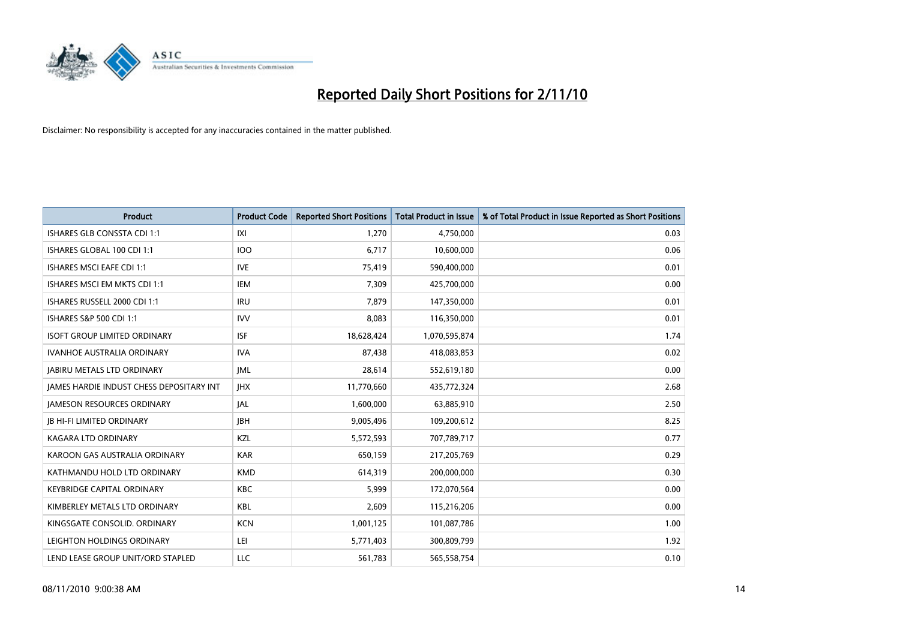

| <b>Product</b>                                  | <b>Product Code</b> | <b>Reported Short Positions</b> | <b>Total Product in Issue</b> | % of Total Product in Issue Reported as Short Positions |
|-------------------------------------------------|---------------------|---------------------------------|-------------------------------|---------------------------------------------------------|
| <b>ISHARES GLB CONSSTA CDI 1:1</b>              | X                   | 1,270                           | 4,750,000                     | 0.03                                                    |
| ISHARES GLOBAL 100 CDI 1:1                      | <b>IOO</b>          | 6,717                           | 10,600,000                    | 0.06                                                    |
| <b>ISHARES MSCI EAFE CDI 1:1</b>                | <b>IVE</b>          | 75,419                          | 590,400,000                   | 0.01                                                    |
| ISHARES MSCI EM MKTS CDI 1:1                    | <b>IEM</b>          | 7,309                           | 425,700,000                   | 0.00                                                    |
| ISHARES RUSSELL 2000 CDI 1:1                    | <b>IRU</b>          | 7,879                           | 147,350,000                   | 0.01                                                    |
| ISHARES S&P 500 CDI 1:1                         | <b>IVV</b>          | 8,083                           | 116,350,000                   | 0.01                                                    |
| <b>ISOFT GROUP LIMITED ORDINARY</b>             | <b>ISF</b>          | 18,628,424                      | 1,070,595,874                 | 1.74                                                    |
| <b>IVANHOE AUSTRALIA ORDINARY</b>               | <b>IVA</b>          | 87,438                          | 418,083,853                   | 0.02                                                    |
| <b>JABIRU METALS LTD ORDINARY</b>               | <b>JML</b>          | 28,614                          | 552,619,180                   | 0.00                                                    |
| <b>IAMES HARDIE INDUST CHESS DEPOSITARY INT</b> | <b>IHX</b>          | 11,770,660                      | 435,772,324                   | 2.68                                                    |
| <b>JAMESON RESOURCES ORDINARY</b>               | <b>JAL</b>          | 1,600,000                       | 63,885,910                    | 2.50                                                    |
| <b>IB HI-FI LIMITED ORDINARY</b>                | <b>IBH</b>          | 9,005,496                       | 109,200,612                   | 8.25                                                    |
| <b>KAGARA LTD ORDINARY</b>                      | KZL                 | 5,572,593                       | 707,789,717                   | 0.77                                                    |
| KAROON GAS AUSTRALIA ORDINARY                   | <b>KAR</b>          | 650,159                         | 217,205,769                   | 0.29                                                    |
| KATHMANDU HOLD LTD ORDINARY                     | <b>KMD</b>          | 614,319                         | 200,000,000                   | 0.30                                                    |
| <b>KEYBRIDGE CAPITAL ORDINARY</b>               | <b>KBC</b>          | 5,999                           | 172,070,564                   | 0.00                                                    |
| KIMBERLEY METALS LTD ORDINARY                   | <b>KBL</b>          | 2,609                           | 115,216,206                   | 0.00                                                    |
| KINGSGATE CONSOLID. ORDINARY                    | <b>KCN</b>          | 1,001,125                       | 101,087,786                   | 1.00                                                    |
| LEIGHTON HOLDINGS ORDINARY                      | LEI                 | 5,771,403                       | 300,809,799                   | 1.92                                                    |
| LEND LEASE GROUP UNIT/ORD STAPLED               | LLC                 | 561,783                         | 565,558,754                   | 0.10                                                    |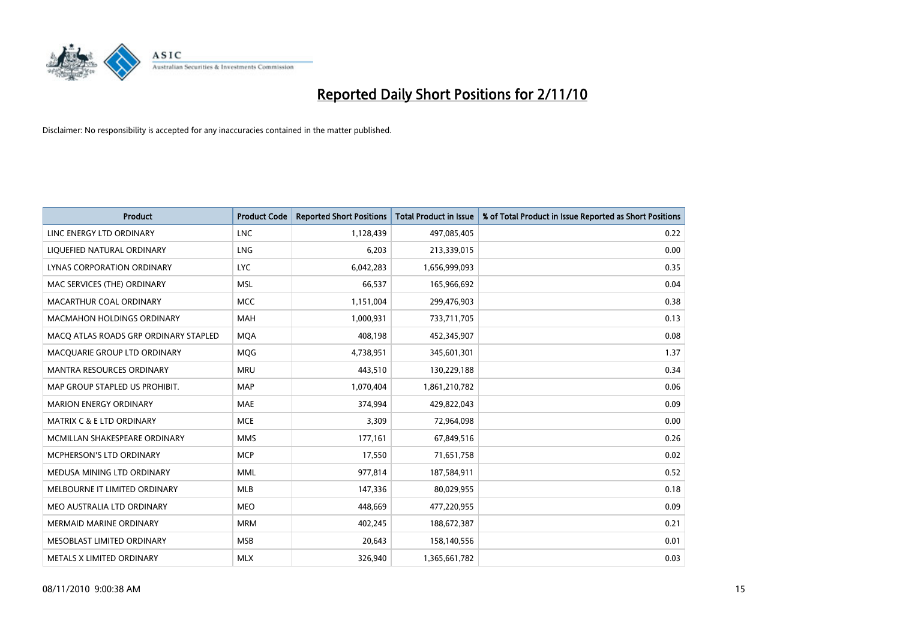

| <b>Product</b>                        | <b>Product Code</b> | <b>Reported Short Positions</b> | Total Product in Issue | % of Total Product in Issue Reported as Short Positions |
|---------------------------------------|---------------------|---------------------------------|------------------------|---------------------------------------------------------|
| LINC ENERGY LTD ORDINARY              | <b>LNC</b>          | 1,128,439                       | 497,085,405            | 0.22                                                    |
| LIQUEFIED NATURAL ORDINARY            | LNG                 | 6,203                           | 213,339,015            | 0.00                                                    |
| LYNAS CORPORATION ORDINARY            | <b>LYC</b>          | 6,042,283                       | 1,656,999,093          | 0.35                                                    |
| MAC SERVICES (THE) ORDINARY           | <b>MSL</b>          | 66,537                          | 165,966,692            | 0.04                                                    |
| MACARTHUR COAL ORDINARY               | <b>MCC</b>          | 1,151,004                       | 299,476,903            | 0.38                                                    |
| <b>MACMAHON HOLDINGS ORDINARY</b>     | <b>MAH</b>          | 1,000,931                       | 733,711,705            | 0.13                                                    |
| MACO ATLAS ROADS GRP ORDINARY STAPLED | <b>MOA</b>          | 408,198                         | 452,345,907            | 0.08                                                    |
| MACQUARIE GROUP LTD ORDINARY          | MQG                 | 4,738,951                       | 345,601,301            | 1.37                                                    |
| <b>MANTRA RESOURCES ORDINARY</b>      | <b>MRU</b>          | 443,510                         | 130,229,188            | 0.34                                                    |
| MAP GROUP STAPLED US PROHIBIT.        | <b>MAP</b>          | 1,070,404                       | 1,861,210,782          | 0.06                                                    |
| <b>MARION ENERGY ORDINARY</b>         | <b>MAE</b>          | 374,994                         | 429,822,043            | 0.09                                                    |
| <b>MATRIX C &amp; E LTD ORDINARY</b>  | <b>MCE</b>          | 3,309                           | 72,964,098             | 0.00                                                    |
| MCMILLAN SHAKESPEARE ORDINARY         | <b>MMS</b>          | 177,161                         | 67,849,516             | 0.26                                                    |
| MCPHERSON'S LTD ORDINARY              | <b>MCP</b>          | 17,550                          | 71,651,758             | 0.02                                                    |
| MEDUSA MINING LTD ORDINARY            | <b>MML</b>          | 977,814                         | 187,584,911            | 0.52                                                    |
| MELBOURNE IT LIMITED ORDINARY         | <b>MLB</b>          | 147,336                         | 80,029,955             | 0.18                                                    |
| MEO AUSTRALIA LTD ORDINARY            | <b>MEO</b>          | 448,669                         | 477,220,955            | 0.09                                                    |
| MERMAID MARINE ORDINARY               | <b>MRM</b>          | 402,245                         | 188,672,387            | 0.21                                                    |
| MESOBLAST LIMITED ORDINARY            | <b>MSB</b>          | 20,643                          | 158,140,556            | 0.01                                                    |
| METALS X LIMITED ORDINARY             | <b>MLX</b>          | 326,940                         | 1,365,661,782          | 0.03                                                    |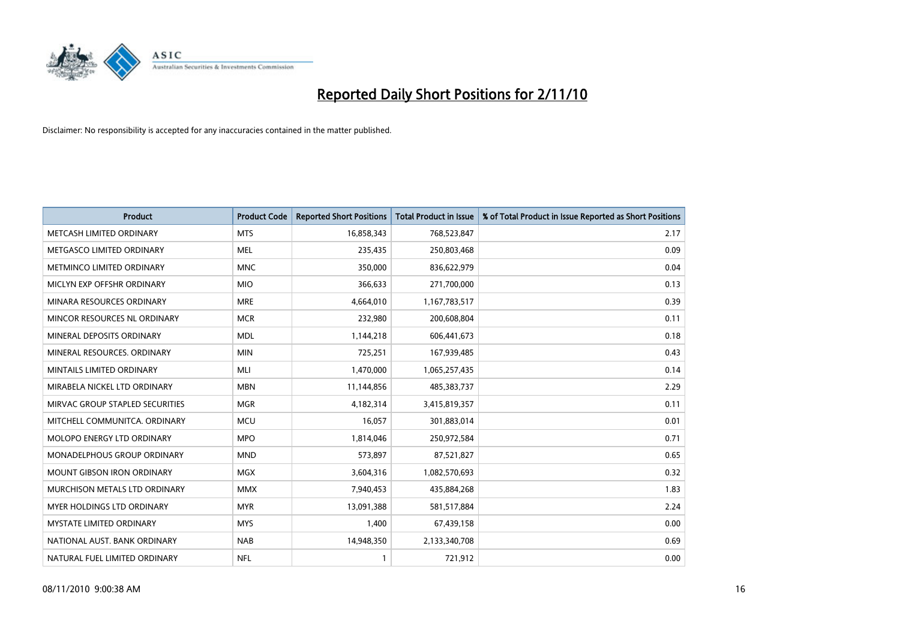

| <b>Product</b>                    | <b>Product Code</b> | <b>Reported Short Positions</b> | <b>Total Product in Issue</b> | % of Total Product in Issue Reported as Short Positions |
|-----------------------------------|---------------------|---------------------------------|-------------------------------|---------------------------------------------------------|
| METCASH LIMITED ORDINARY          | <b>MTS</b>          | 16,858,343                      | 768,523,847                   | 2.17                                                    |
| METGASCO LIMITED ORDINARY         | <b>MEL</b>          | 235,435                         | 250,803,468                   | 0.09                                                    |
| METMINCO LIMITED ORDINARY         | <b>MNC</b>          | 350,000                         | 836,622,979                   | 0.04                                                    |
| MICLYN EXP OFFSHR ORDINARY        | <b>MIO</b>          | 366,633                         | 271,700,000                   | 0.13                                                    |
| MINARA RESOURCES ORDINARY         | <b>MRE</b>          | 4,664,010                       | 1,167,783,517                 | 0.39                                                    |
| MINCOR RESOURCES NL ORDINARY      | <b>MCR</b>          | 232,980                         | 200,608,804                   | 0.11                                                    |
| MINERAL DEPOSITS ORDINARY         | <b>MDL</b>          | 1,144,218                       | 606,441,673                   | 0.18                                                    |
| MINERAL RESOURCES. ORDINARY       | <b>MIN</b>          | 725,251                         | 167,939,485                   | 0.43                                                    |
| MINTAILS LIMITED ORDINARY         | MLI                 | 1,470,000                       | 1,065,257,435                 | 0.14                                                    |
| MIRABELA NICKEL LTD ORDINARY      | <b>MBN</b>          | 11,144,856                      | 485,383,737                   | 2.29                                                    |
| MIRVAC GROUP STAPLED SECURITIES   | <b>MGR</b>          | 4,182,314                       | 3,415,819,357                 | 0.11                                                    |
| MITCHELL COMMUNITCA. ORDINARY     | <b>MCU</b>          | 16,057                          | 301,883,014                   | 0.01                                                    |
| <b>MOLOPO ENERGY LTD ORDINARY</b> | <b>MPO</b>          | 1,814,046                       | 250,972,584                   | 0.71                                                    |
| MONADELPHOUS GROUP ORDINARY       | <b>MND</b>          | 573,897                         | 87,521,827                    | 0.65                                                    |
| <b>MOUNT GIBSON IRON ORDINARY</b> | <b>MGX</b>          | 3,604,316                       | 1,082,570,693                 | 0.32                                                    |
| MURCHISON METALS LTD ORDINARY     | <b>MMX</b>          | 7,940,453                       | 435,884,268                   | 1.83                                                    |
| MYER HOLDINGS LTD ORDINARY        | <b>MYR</b>          | 13,091,388                      | 581,517,884                   | 2.24                                                    |
| <b>MYSTATE LIMITED ORDINARY</b>   | <b>MYS</b>          | 1,400                           | 67,439,158                    | 0.00                                                    |
| NATIONAL AUST. BANK ORDINARY      | <b>NAB</b>          | 14,948,350                      | 2,133,340,708                 | 0.69                                                    |
| NATURAL FUEL LIMITED ORDINARY     | <b>NFL</b>          |                                 | 721,912                       | 0.00                                                    |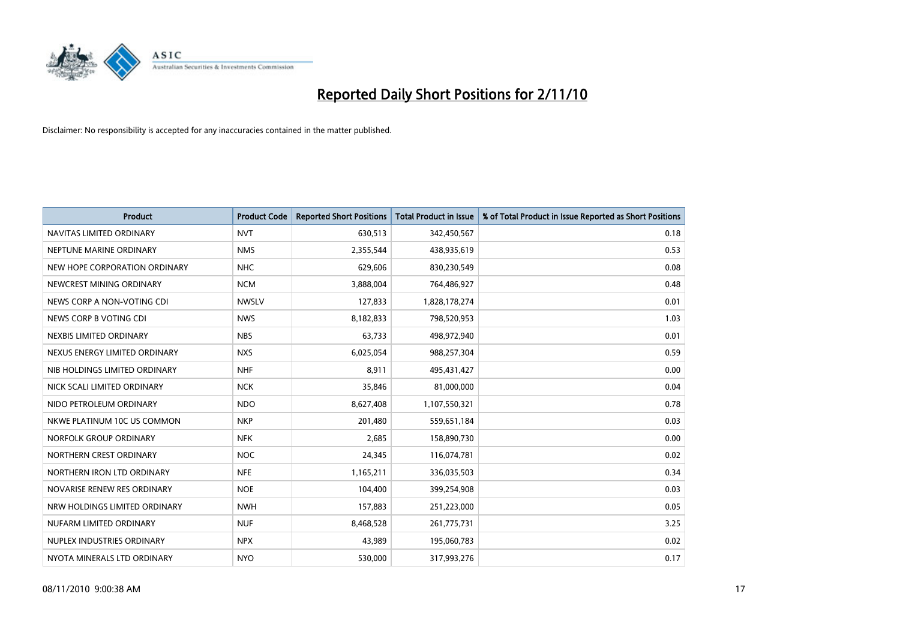

| <b>Product</b>                | <b>Product Code</b> | <b>Reported Short Positions</b> | <b>Total Product in Issue</b> | % of Total Product in Issue Reported as Short Positions |
|-------------------------------|---------------------|---------------------------------|-------------------------------|---------------------------------------------------------|
| NAVITAS LIMITED ORDINARY      | <b>NVT</b>          | 630,513                         | 342,450,567                   | 0.18                                                    |
| NEPTUNE MARINE ORDINARY       | <b>NMS</b>          | 2,355,544                       | 438,935,619                   | 0.53                                                    |
| NEW HOPE CORPORATION ORDINARY | <b>NHC</b>          | 629,606                         | 830,230,549                   | 0.08                                                    |
| NEWCREST MINING ORDINARY      | <b>NCM</b>          | 3,888,004                       | 764,486,927                   | 0.48                                                    |
| NEWS CORP A NON-VOTING CDI    | <b>NWSLV</b>        | 127,833                         | 1,828,178,274                 | 0.01                                                    |
| NEWS CORP B VOTING CDI        | <b>NWS</b>          | 8,182,833                       | 798,520,953                   | 1.03                                                    |
| NEXBIS LIMITED ORDINARY       | <b>NBS</b>          | 63,733                          | 498,972,940                   | 0.01                                                    |
| NEXUS ENERGY LIMITED ORDINARY | <b>NXS</b>          | 6,025,054                       | 988,257,304                   | 0.59                                                    |
| NIB HOLDINGS LIMITED ORDINARY | <b>NHF</b>          | 8,911                           | 495,431,427                   | 0.00                                                    |
| NICK SCALI LIMITED ORDINARY   | <b>NCK</b>          | 35,846                          | 81,000,000                    | 0.04                                                    |
| NIDO PETROLEUM ORDINARY       | <b>NDO</b>          | 8,627,408                       | 1,107,550,321                 | 0.78                                                    |
| NKWE PLATINUM 10C US COMMON   | <b>NKP</b>          | 201,480                         | 559,651,184                   | 0.03                                                    |
| NORFOLK GROUP ORDINARY        | <b>NFK</b>          | 2,685                           | 158,890,730                   | 0.00                                                    |
| NORTHERN CREST ORDINARY       | <b>NOC</b>          | 24,345                          | 116,074,781                   | 0.02                                                    |
| NORTHERN IRON LTD ORDINARY    | <b>NFE</b>          | 1,165,211                       | 336,035,503                   | 0.34                                                    |
| NOVARISE RENEW RES ORDINARY   | <b>NOE</b>          | 104,400                         | 399,254,908                   | 0.03                                                    |
| NRW HOLDINGS LIMITED ORDINARY | <b>NWH</b>          | 157,883                         | 251,223,000                   | 0.05                                                    |
| NUFARM LIMITED ORDINARY       | <b>NUF</b>          | 8,468,528                       | 261,775,731                   | 3.25                                                    |
| NUPLEX INDUSTRIES ORDINARY    | <b>NPX</b>          | 43,989                          | 195,060,783                   | 0.02                                                    |
| NYOTA MINERALS LTD ORDINARY   | <b>NYO</b>          | 530,000                         | 317,993,276                   | 0.17                                                    |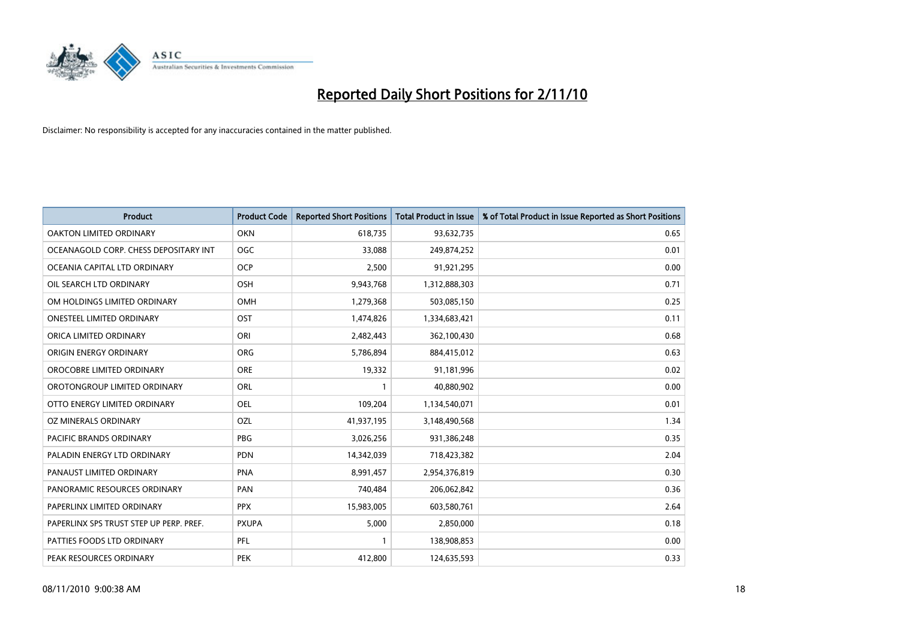

| <b>Product</b>                          | <b>Product Code</b> | <b>Reported Short Positions</b> | Total Product in Issue | % of Total Product in Issue Reported as Short Positions |
|-----------------------------------------|---------------------|---------------------------------|------------------------|---------------------------------------------------------|
| <b>OAKTON LIMITED ORDINARY</b>          | <b>OKN</b>          | 618,735                         | 93,632,735             | 0.65                                                    |
| OCEANAGOLD CORP. CHESS DEPOSITARY INT   | <b>OGC</b>          | 33.088                          | 249,874,252            | 0.01                                                    |
| OCEANIA CAPITAL LTD ORDINARY            | <b>OCP</b>          | 2,500                           | 91,921,295             | 0.00                                                    |
| OIL SEARCH LTD ORDINARY                 | <b>OSH</b>          | 9,943,768                       | 1,312,888,303          | 0.71                                                    |
| OM HOLDINGS LIMITED ORDINARY            | OMH                 | 1,279,368                       | 503,085,150            | 0.25                                                    |
| <b>ONESTEEL LIMITED ORDINARY</b>        | OST                 | 1,474,826                       | 1,334,683,421          | 0.11                                                    |
| ORICA LIMITED ORDINARY                  | ORI                 | 2,482,443                       | 362,100,430            | 0.68                                                    |
| ORIGIN ENERGY ORDINARY                  | <b>ORG</b>          | 5,786,894                       | 884,415,012            | 0.63                                                    |
| OROCOBRE LIMITED ORDINARY               | <b>ORE</b>          | 19,332                          | 91,181,996             | 0.02                                                    |
| OROTONGROUP LIMITED ORDINARY            | <b>ORL</b>          |                                 | 40,880,902             | 0.00                                                    |
| OTTO ENERGY LIMITED ORDINARY            | <b>OEL</b>          | 109,204                         | 1,134,540,071          | 0.01                                                    |
| OZ MINERALS ORDINARY                    | OZL                 | 41,937,195                      | 3,148,490,568          | 1.34                                                    |
| <b>PACIFIC BRANDS ORDINARY</b>          | <b>PBG</b>          | 3,026,256                       | 931,386,248            | 0.35                                                    |
| PALADIN ENERGY LTD ORDINARY             | <b>PDN</b>          | 14,342,039                      | 718,423,382            | 2.04                                                    |
| PANAUST LIMITED ORDINARY                | <b>PNA</b>          | 8,991,457                       | 2,954,376,819          | 0.30                                                    |
| PANORAMIC RESOURCES ORDINARY            | PAN                 | 740,484                         | 206,062,842            | 0.36                                                    |
| PAPERLINX LIMITED ORDINARY              | <b>PPX</b>          | 15,983,005                      | 603,580,761            | 2.64                                                    |
| PAPERLINX SPS TRUST STEP UP PERP. PREF. | <b>PXUPA</b>        | 5,000                           | 2,850,000              | 0.18                                                    |
| PATTIES FOODS LTD ORDINARY              | PFL                 |                                 | 138,908,853            | 0.00                                                    |
| PEAK RESOURCES ORDINARY                 | <b>PEK</b>          | 412,800                         | 124,635,593            | 0.33                                                    |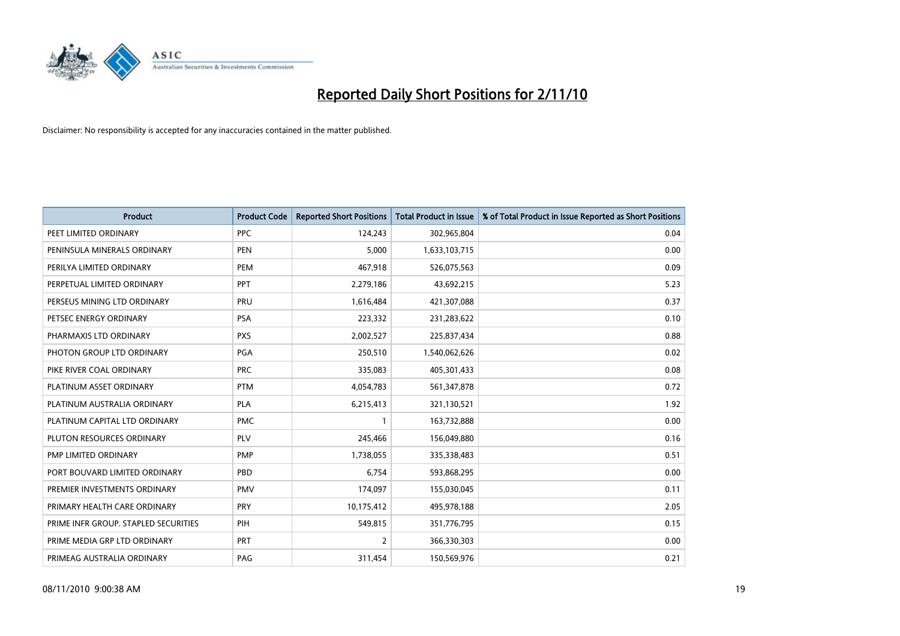

| <b>Product</b>                       | <b>Product Code</b> | <b>Reported Short Positions</b> | <b>Total Product in Issue</b> | % of Total Product in Issue Reported as Short Positions |
|--------------------------------------|---------------------|---------------------------------|-------------------------------|---------------------------------------------------------|
| PEET LIMITED ORDINARY                | PPC                 | 124,243                         | 302,965,804                   | 0.04                                                    |
| PENINSULA MINERALS ORDINARY          | <b>PEN</b>          | 5,000                           | 1,633,103,715                 | 0.00                                                    |
| PERILYA LIMITED ORDINARY             | <b>PEM</b>          | 467,918                         | 526,075,563                   | 0.09                                                    |
| PERPETUAL LIMITED ORDINARY           | PPT                 | 2,279,186                       | 43,692,215                    | 5.23                                                    |
| PERSEUS MINING LTD ORDINARY          | PRU                 | 1,616,484                       | 421,307,088                   | 0.37                                                    |
| PETSEC ENERGY ORDINARY               | <b>PSA</b>          | 223,332                         | 231,283,622                   | 0.10                                                    |
| PHARMAXIS LTD ORDINARY               | <b>PXS</b>          | 2,002,527                       | 225,837,434                   | 0.88                                                    |
| PHOTON GROUP LTD ORDINARY            | PGA                 | 250,510                         | 1,540,062,626                 | 0.02                                                    |
| PIKE RIVER COAL ORDINARY             | <b>PRC</b>          | 335,083                         | 405,301,433                   | 0.08                                                    |
| PLATINUM ASSET ORDINARY              | <b>PTM</b>          | 4,054,783                       | 561,347,878                   | 0.72                                                    |
| PLATINUM AUSTRALIA ORDINARY          | <b>PLA</b>          | 6,215,413                       | 321,130,521                   | 1.92                                                    |
| PLATINUM CAPITAL LTD ORDINARY        | <b>PMC</b>          |                                 | 163,732,888                   | 0.00                                                    |
| PLUTON RESOURCES ORDINARY            | <b>PLV</b>          | 245,466                         | 156,049,880                   | 0.16                                                    |
| <b>PMP LIMITED ORDINARY</b>          | <b>PMP</b>          | 1,738,055                       | 335,338,483                   | 0.51                                                    |
| PORT BOUVARD LIMITED ORDINARY        | PBD                 | 6,754                           | 593,868,295                   | 0.00                                                    |
| PREMIER INVESTMENTS ORDINARY         | <b>PMV</b>          | 174,097                         | 155,030,045                   | 0.11                                                    |
| PRIMARY HEALTH CARE ORDINARY         | PRY                 | 10,175,412                      | 495,978,188                   | 2.05                                                    |
| PRIME INFR GROUP. STAPLED SECURITIES | PIH                 | 549,815                         | 351,776,795                   | 0.15                                                    |
| PRIME MEDIA GRP LTD ORDINARY         | PRT                 | 2                               | 366,330,303                   | 0.00                                                    |
| PRIMEAG AUSTRALIA ORDINARY           | PAG                 | 311,454                         | 150,569,976                   | 0.21                                                    |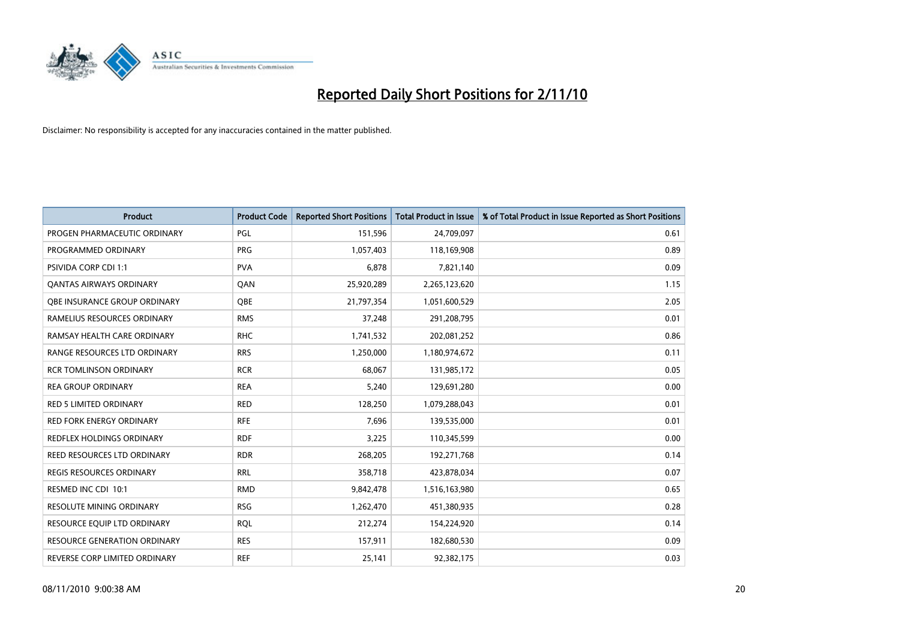

| <b>Product</b>                      | <b>Product Code</b> | <b>Reported Short Positions</b> | <b>Total Product in Issue</b> | % of Total Product in Issue Reported as Short Positions |
|-------------------------------------|---------------------|---------------------------------|-------------------------------|---------------------------------------------------------|
| PROGEN PHARMACEUTIC ORDINARY        | <b>PGL</b>          | 151,596                         | 24,709,097                    | 0.61                                                    |
| PROGRAMMED ORDINARY                 | <b>PRG</b>          | 1,057,403                       | 118,169,908                   | 0.89                                                    |
| <b>PSIVIDA CORP CDI 1:1</b>         | <b>PVA</b>          | 6.878                           | 7,821,140                     | 0.09                                                    |
| <b>QANTAS AIRWAYS ORDINARY</b>      | QAN                 | 25,920,289                      | 2,265,123,620                 | 1.15                                                    |
| <b>OBE INSURANCE GROUP ORDINARY</b> | <b>OBE</b>          | 21,797,354                      | 1,051,600,529                 | 2.05                                                    |
| RAMELIUS RESOURCES ORDINARY         | <b>RMS</b>          | 37,248                          | 291,208,795                   | 0.01                                                    |
| RAMSAY HEALTH CARE ORDINARY         | <b>RHC</b>          | 1,741,532                       | 202,081,252                   | 0.86                                                    |
| RANGE RESOURCES LTD ORDINARY        | <b>RRS</b>          | 1,250,000                       | 1,180,974,672                 | 0.11                                                    |
| <b>RCR TOMLINSON ORDINARY</b>       | <b>RCR</b>          | 68,067                          | 131,985,172                   | 0.05                                                    |
| <b>REA GROUP ORDINARY</b>           | <b>REA</b>          | 5,240                           | 129,691,280                   | 0.00                                                    |
| RED 5 LIMITED ORDINARY              | <b>RED</b>          | 128,250                         | 1,079,288,043                 | 0.01                                                    |
| <b>RED FORK ENERGY ORDINARY</b>     | <b>RFE</b>          | 7,696                           | 139,535,000                   | 0.01                                                    |
| REDFLEX HOLDINGS ORDINARY           | <b>RDF</b>          | 3,225                           | 110,345,599                   | 0.00                                                    |
| REED RESOURCES LTD ORDINARY         | <b>RDR</b>          | 268,205                         | 192,271,768                   | 0.14                                                    |
| <b>REGIS RESOURCES ORDINARY</b>     | <b>RRL</b>          | 358,718                         | 423,878,034                   | 0.07                                                    |
| RESMED INC CDI 10:1                 | <b>RMD</b>          | 9,842,478                       | 1,516,163,980                 | 0.65                                                    |
| RESOLUTE MINING ORDINARY            | <b>RSG</b>          | 1,262,470                       | 451,380,935                   | 0.28                                                    |
| RESOURCE EQUIP LTD ORDINARY         | <b>RQL</b>          | 212,274                         | 154,224,920                   | 0.14                                                    |
| <b>RESOURCE GENERATION ORDINARY</b> | <b>RES</b>          | 157,911                         | 182,680,530                   | 0.09                                                    |
| REVERSE CORP LIMITED ORDINARY       | <b>REF</b>          | 25,141                          | 92,382,175                    | 0.03                                                    |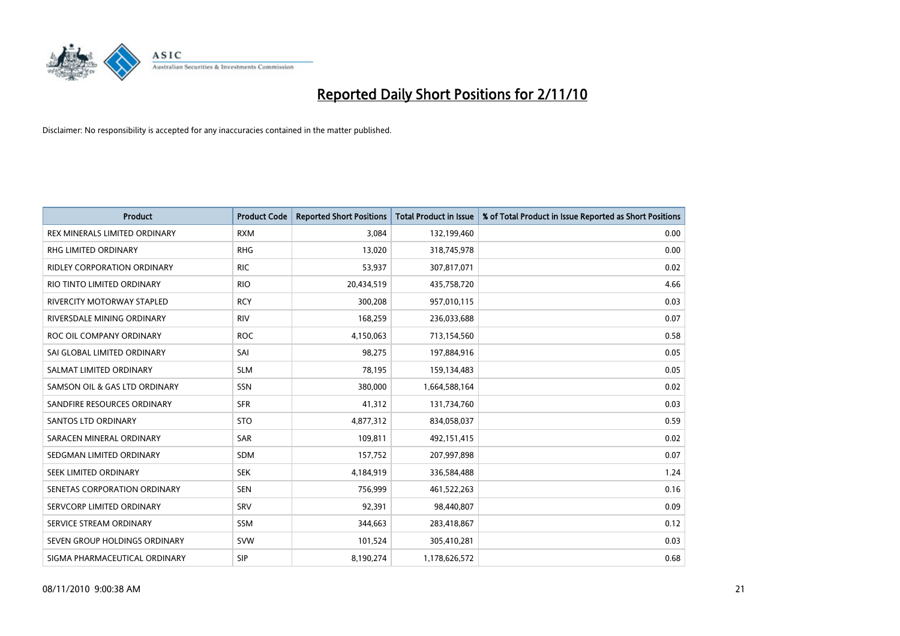

| <b>Product</b>                     | <b>Product Code</b> | <b>Reported Short Positions</b> | Total Product in Issue | % of Total Product in Issue Reported as Short Positions |
|------------------------------------|---------------------|---------------------------------|------------------------|---------------------------------------------------------|
| REX MINERALS LIMITED ORDINARY      | <b>RXM</b>          | 3,084                           | 132,199,460            | 0.00                                                    |
| RHG LIMITED ORDINARY               | <b>RHG</b>          | 13,020                          | 318,745,978            | 0.00                                                    |
| <b>RIDLEY CORPORATION ORDINARY</b> | <b>RIC</b>          | 53,937                          | 307,817,071            | 0.02                                                    |
| RIO TINTO LIMITED ORDINARY         | <b>RIO</b>          | 20,434,519                      | 435,758,720            | 4.66                                                    |
| <b>RIVERCITY MOTORWAY STAPLED</b>  | <b>RCY</b>          | 300,208                         | 957,010,115            | 0.03                                                    |
| RIVERSDALE MINING ORDINARY         | <b>RIV</b>          | 168,259                         | 236,033,688            | 0.07                                                    |
| ROC OIL COMPANY ORDINARY           | <b>ROC</b>          | 4,150,063                       | 713,154,560            | 0.58                                                    |
| SAI GLOBAL LIMITED ORDINARY        | SAI                 | 98,275                          | 197,884,916            | 0.05                                                    |
| SALMAT LIMITED ORDINARY            | <b>SLM</b>          | 78,195                          | 159,134,483            | 0.05                                                    |
| SAMSON OIL & GAS LTD ORDINARY      | SSN                 | 380,000                         | 1,664,588,164          | 0.02                                                    |
| SANDFIRE RESOURCES ORDINARY        | <b>SFR</b>          | 41,312                          | 131,734,760            | 0.03                                                    |
| <b>SANTOS LTD ORDINARY</b>         | <b>STO</b>          | 4,877,312                       | 834,058,037            | 0.59                                                    |
| SARACEN MINERAL ORDINARY           | <b>SAR</b>          | 109,811                         | 492,151,415            | 0.02                                                    |
| SEDGMAN LIMITED ORDINARY           | <b>SDM</b>          | 157,752                         | 207,997,898            | 0.07                                                    |
| SEEK LIMITED ORDINARY              | <b>SEK</b>          | 4,184,919                       | 336,584,488            | 1.24                                                    |
| SENETAS CORPORATION ORDINARY       | <b>SEN</b>          | 756,999                         | 461,522,263            | 0.16                                                    |
| SERVCORP LIMITED ORDINARY          | SRV                 | 92,391                          | 98,440,807             | 0.09                                                    |
| SERVICE STREAM ORDINARY            | <b>SSM</b>          | 344,663                         | 283,418,867            | 0.12                                                    |
| SEVEN GROUP HOLDINGS ORDINARY      | <b>SVW</b>          | 101,524                         | 305,410,281            | 0.03                                                    |
| SIGMA PHARMACEUTICAL ORDINARY      | SIP                 | 8,190,274                       | 1,178,626,572          | 0.68                                                    |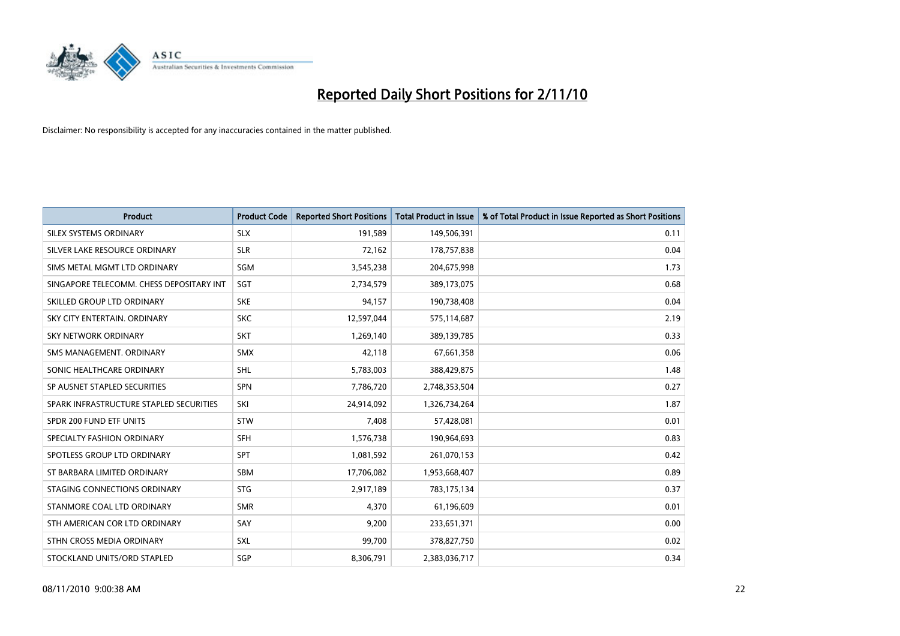

| <b>Product</b>                           | <b>Product Code</b> | <b>Reported Short Positions</b> | Total Product in Issue | % of Total Product in Issue Reported as Short Positions |
|------------------------------------------|---------------------|---------------------------------|------------------------|---------------------------------------------------------|
| SILEX SYSTEMS ORDINARY                   | <b>SLX</b>          | 191,589                         | 149,506,391            | 0.11                                                    |
| SILVER LAKE RESOURCE ORDINARY            | <b>SLR</b>          | 72,162                          | 178,757,838            | 0.04                                                    |
| SIMS METAL MGMT LTD ORDINARY             | SGM                 | 3,545,238                       | 204,675,998            | 1.73                                                    |
| SINGAPORE TELECOMM. CHESS DEPOSITARY INT | SGT                 | 2,734,579                       | 389,173,075            | 0.68                                                    |
| SKILLED GROUP LTD ORDINARY               | <b>SKE</b>          | 94,157                          | 190,738,408            | 0.04                                                    |
| SKY CITY ENTERTAIN, ORDINARY             | <b>SKC</b>          | 12,597,044                      | 575,114,687            | 2.19                                                    |
| <b>SKY NETWORK ORDINARY</b>              | <b>SKT</b>          | 1,269,140                       | 389,139,785            | 0.33                                                    |
| SMS MANAGEMENT, ORDINARY                 | <b>SMX</b>          | 42,118                          | 67,661,358             | 0.06                                                    |
| SONIC HEALTHCARE ORDINARY                | <b>SHL</b>          | 5,783,003                       | 388,429,875            | 1.48                                                    |
| SP AUSNET STAPLED SECURITIES             | <b>SPN</b>          | 7,786,720                       | 2,748,353,504          | 0.27                                                    |
| SPARK INFRASTRUCTURE STAPLED SECURITIES  | SKI                 | 24,914,092                      | 1,326,734,264          | 1.87                                                    |
| SPDR 200 FUND ETF UNITS                  | <b>STW</b>          | 7,408                           | 57,428,081             | 0.01                                                    |
| SPECIALTY FASHION ORDINARY               | SFH                 | 1,576,738                       | 190,964,693            | 0.83                                                    |
| SPOTLESS GROUP LTD ORDINARY              | <b>SPT</b>          | 1,081,592                       | 261,070,153            | 0.42                                                    |
| ST BARBARA LIMITED ORDINARY              | SBM                 | 17,706,082                      | 1,953,668,407          | 0.89                                                    |
| STAGING CONNECTIONS ORDINARY             | <b>STG</b>          | 2,917,189                       | 783,175,134            | 0.37                                                    |
| STANMORE COAL LTD ORDINARY               | <b>SMR</b>          | 4,370                           | 61,196,609             | 0.01                                                    |
| STH AMERICAN COR LTD ORDINARY            | SAY                 | 9,200                           | 233,651,371            | 0.00                                                    |
| STHN CROSS MEDIA ORDINARY                | <b>SXL</b>          | 99,700                          | 378,827,750            | 0.02                                                    |
| STOCKLAND UNITS/ORD STAPLED              | SGP                 | 8,306,791                       | 2,383,036,717          | 0.34                                                    |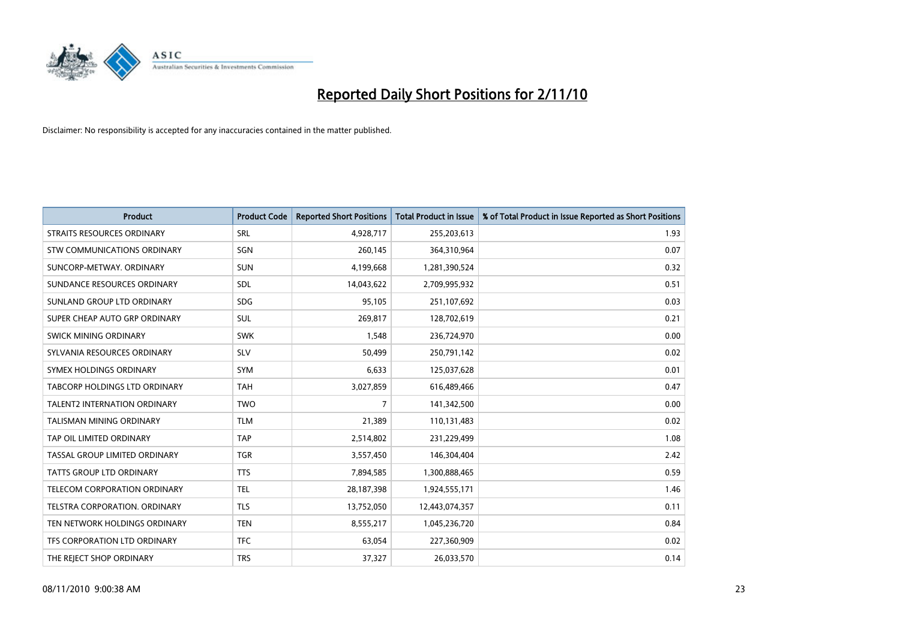

| <b>Product</b>                       | <b>Product Code</b> | <b>Reported Short Positions</b> | Total Product in Issue | % of Total Product in Issue Reported as Short Positions |
|--------------------------------------|---------------------|---------------------------------|------------------------|---------------------------------------------------------|
| <b>STRAITS RESOURCES ORDINARY</b>    | SRL                 | 4,928,717                       | 255,203,613            | 1.93                                                    |
| STW COMMUNICATIONS ORDINARY          | SGN                 | 260,145                         | 364,310,964            | 0.07                                                    |
| SUNCORP-METWAY, ORDINARY             | <b>SUN</b>          | 4,199,668                       | 1,281,390,524          | 0.32                                                    |
| SUNDANCE RESOURCES ORDINARY          | <b>SDL</b>          | 14,043,622                      | 2,709,995,932          | 0.51                                                    |
| SUNLAND GROUP LTD ORDINARY           | <b>SDG</b>          | 95,105                          | 251,107,692            | 0.03                                                    |
| SUPER CHEAP AUTO GRP ORDINARY        | <b>SUL</b>          | 269,817                         | 128,702,619            | 0.21                                                    |
| <b>SWICK MINING ORDINARY</b>         | <b>SWK</b>          | 1.548                           | 236,724,970            | 0.00                                                    |
| SYLVANIA RESOURCES ORDINARY          | <b>SLV</b>          | 50,499                          | 250,791,142            | 0.02                                                    |
| SYMEX HOLDINGS ORDINARY              | <b>SYM</b>          | 6,633                           | 125,037,628            | 0.01                                                    |
| TABCORP HOLDINGS LTD ORDINARY        | <b>TAH</b>          | 3,027,859                       | 616,489,466            | 0.47                                                    |
| <b>TALENT2 INTERNATION ORDINARY</b>  | <b>TWO</b>          | 7                               | 141,342,500            | 0.00                                                    |
| <b>TALISMAN MINING ORDINARY</b>      | <b>TLM</b>          | 21,389                          | 110,131,483            | 0.02                                                    |
| TAP OIL LIMITED ORDINARY             | <b>TAP</b>          | 2,514,802                       | 231,229,499            | 1.08                                                    |
| TASSAL GROUP LIMITED ORDINARY        | <b>TGR</b>          | 3,557,450                       | 146,304,404            | 2.42                                                    |
| TATTS GROUP LTD ORDINARY             | <b>TTS</b>          | 7,894,585                       | 1,300,888,465          | 0.59                                                    |
| TELECOM CORPORATION ORDINARY         | <b>TEL</b>          | 28,187,398                      | 1,924,555,171          | 1.46                                                    |
| <b>TELSTRA CORPORATION, ORDINARY</b> | <b>TLS</b>          | 13,752,050                      | 12,443,074,357         | 0.11                                                    |
| TEN NETWORK HOLDINGS ORDINARY        | <b>TEN</b>          | 8,555,217                       | 1,045,236,720          | 0.84                                                    |
| TFS CORPORATION LTD ORDINARY         | <b>TFC</b>          | 63,054                          | 227,360,909            | 0.02                                                    |
| THE REJECT SHOP ORDINARY             | <b>TRS</b>          | 37,327                          | 26,033,570             | 0.14                                                    |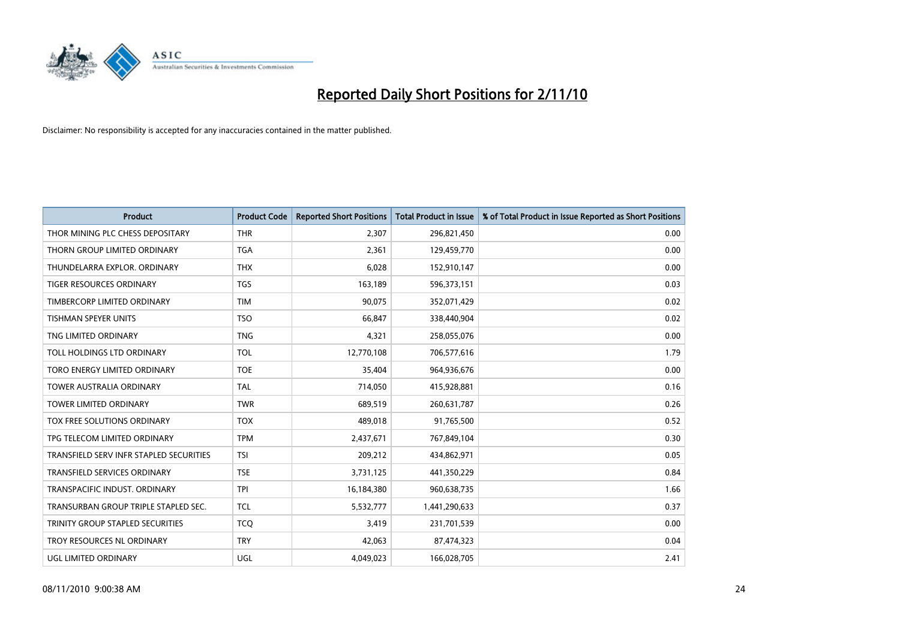

| <b>Product</b>                          | <b>Product Code</b> | <b>Reported Short Positions</b> | Total Product in Issue | % of Total Product in Issue Reported as Short Positions |
|-----------------------------------------|---------------------|---------------------------------|------------------------|---------------------------------------------------------|
| THOR MINING PLC CHESS DEPOSITARY        | <b>THR</b>          | 2,307                           | 296,821,450            | 0.00                                                    |
| THORN GROUP LIMITED ORDINARY            | <b>TGA</b>          | 2,361                           | 129,459,770            | 0.00                                                    |
| THUNDELARRA EXPLOR, ORDINARY            | <b>THX</b>          | 6,028                           | 152,910,147            | 0.00                                                    |
| TIGER RESOURCES ORDINARY                | <b>TGS</b>          | 163,189                         | 596,373,151            | 0.03                                                    |
| TIMBERCORP LIMITED ORDINARY             | <b>TIM</b>          | 90,075                          | 352,071,429            | 0.02                                                    |
| <b>TISHMAN SPEYER UNITS</b>             | <b>TSO</b>          | 66,847                          | 338,440,904            | 0.02                                                    |
| TNG LIMITED ORDINARY                    | <b>TNG</b>          | 4,321                           | 258,055,076            | 0.00                                                    |
| TOLL HOLDINGS LTD ORDINARY              | <b>TOL</b>          | 12,770,108                      | 706,577,616            | 1.79                                                    |
| TORO ENERGY LIMITED ORDINARY            | <b>TOE</b>          | 35,404                          | 964,936,676            | 0.00                                                    |
| <b>TOWER AUSTRALIA ORDINARY</b>         | <b>TAL</b>          | 714,050                         | 415,928,881            | 0.16                                                    |
| TOWER LIMITED ORDINARY                  | <b>TWR</b>          | 689,519                         | 260,631,787            | 0.26                                                    |
| <b>TOX FREE SOLUTIONS ORDINARY</b>      | <b>TOX</b>          | 489,018                         | 91,765,500             | 0.52                                                    |
| TPG TELECOM LIMITED ORDINARY            | <b>TPM</b>          | 2,437,671                       | 767,849,104            | 0.30                                                    |
| TRANSFIELD SERV INFR STAPLED SECURITIES | <b>TSI</b>          | 209,212                         | 434,862,971            | 0.05                                                    |
| <b>TRANSFIELD SERVICES ORDINARY</b>     | <b>TSE</b>          | 3,731,125                       | 441,350,229            | 0.84                                                    |
| TRANSPACIFIC INDUST. ORDINARY           | <b>TPI</b>          | 16,184,380                      | 960,638,735            | 1.66                                                    |
| TRANSURBAN GROUP TRIPLE STAPLED SEC.    | <b>TCL</b>          | 5,532,777                       | 1,441,290,633          | 0.37                                                    |
| TRINITY GROUP STAPLED SECURITIES        | <b>TCQ</b>          | 3,419                           | 231,701,539            | 0.00                                                    |
| TROY RESOURCES NL ORDINARY              | <b>TRY</b>          | 42,063                          | 87,474,323             | 0.04                                                    |
| <b>UGL LIMITED ORDINARY</b>             | UGL                 | 4,049,023                       | 166,028,705            | 2.41                                                    |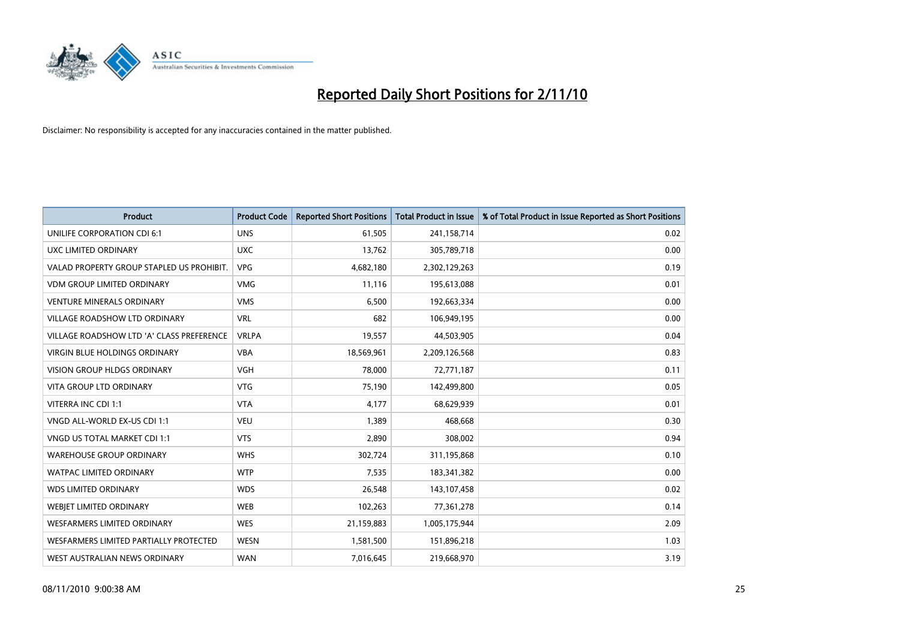

| <b>Product</b>                            | <b>Product Code</b> | <b>Reported Short Positions</b> | <b>Total Product in Issue</b> | % of Total Product in Issue Reported as Short Positions |
|-------------------------------------------|---------------------|---------------------------------|-------------------------------|---------------------------------------------------------|
| UNILIFE CORPORATION CDI 6:1               | <b>UNS</b>          | 61,505                          | 241,158,714                   | 0.02                                                    |
| UXC LIMITED ORDINARY                      | <b>UXC</b>          | 13,762                          | 305,789,718                   | 0.00                                                    |
| VALAD PROPERTY GROUP STAPLED US PROHIBIT. | <b>VPG</b>          | 4,682,180                       | 2,302,129,263                 | 0.19                                                    |
| <b>VDM GROUP LIMITED ORDINARY</b>         | <b>VMG</b>          | 11,116                          | 195,613,088                   | 0.01                                                    |
| <b>VENTURE MINERALS ORDINARY</b>          | <b>VMS</b>          | 6,500                           | 192,663,334                   | 0.00                                                    |
| <b>VILLAGE ROADSHOW LTD ORDINARY</b>      | <b>VRL</b>          | 682                             | 106,949,195                   | 0.00                                                    |
| VILLAGE ROADSHOW LTD 'A' CLASS PREFERENCE | <b>VRLPA</b>        | 19,557                          | 44,503,905                    | 0.04                                                    |
| VIRGIN BLUE HOLDINGS ORDINARY             | <b>VBA</b>          | 18,569,961                      | 2,209,126,568                 | 0.83                                                    |
| <b>VISION GROUP HLDGS ORDINARY</b>        | <b>VGH</b>          | 78,000                          | 72,771,187                    | 0.11                                                    |
| <b>VITA GROUP LTD ORDINARY</b>            | <b>VTG</b>          | 75,190                          | 142,499,800                   | 0.05                                                    |
| VITERRA INC CDI 1:1                       | <b>VTA</b>          | 4,177                           | 68,629,939                    | 0.01                                                    |
| VNGD ALL-WORLD EX-US CDI 1:1              | <b>VEU</b>          | 1,389                           | 468,668                       | 0.30                                                    |
| VNGD US TOTAL MARKET CDI 1:1              | <b>VTS</b>          | 2,890                           | 308,002                       | 0.94                                                    |
| <b>WAREHOUSE GROUP ORDINARY</b>           | <b>WHS</b>          | 302,724                         | 311,195,868                   | 0.10                                                    |
| <b>WATPAC LIMITED ORDINARY</b>            | <b>WTP</b>          | 7,535                           | 183,341,382                   | 0.00                                                    |
| <b>WDS LIMITED ORDINARY</b>               | <b>WDS</b>          | 26,548                          | 143, 107, 458                 | 0.02                                                    |
| WEBIET LIMITED ORDINARY                   | <b>WEB</b>          | 102,263                         | 77,361,278                    | 0.14                                                    |
| <b>WESFARMERS LIMITED ORDINARY</b>        | <b>WES</b>          | 21,159,883                      | 1,005,175,944                 | 2.09                                                    |
| WESFARMERS LIMITED PARTIALLY PROTECTED    | <b>WESN</b>         | 1,581,500                       | 151,896,218                   | 1.03                                                    |
| WEST AUSTRALIAN NEWS ORDINARY             | <b>WAN</b>          | 7,016,645                       | 219,668,970                   | 3.19                                                    |